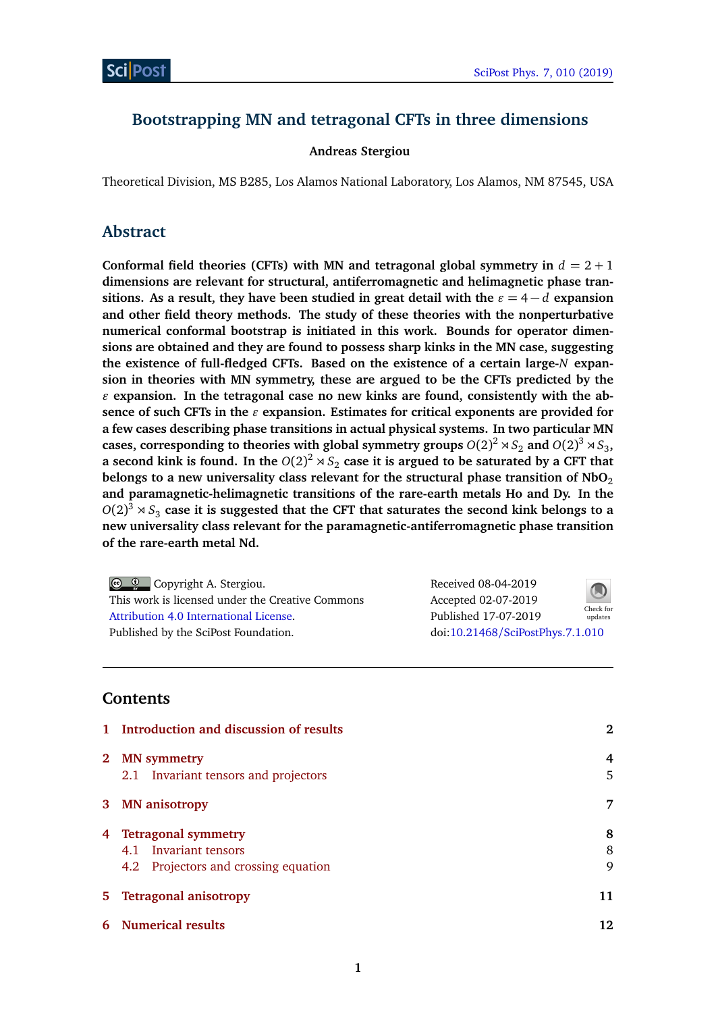# **Bootstrapping MN and tetragonal CFTs in three dimensions**

### **Andreas Stergiou**

Theoretical Division, MS B285, Los Alamos National Laboratory, Los Alamos, NM 87545, USA

# **Abstract**

Conformal field theories (CFTs) with MN and tetragonal global symmetry in  $d = 2 + 1$ **dimensions are relevant for structural, antiferromagnetic and helimagnetic phase transitions.** As a result, they have been studied in great detail with the  $\varepsilon = 4 - d$  expansion **and other field theory methods. The study of these theories with the nonperturbative numerical conformal bootstrap is initiated in this work. Bounds for operator dimensions are obtained and they are found to possess sharp kinks in the MN case, suggesting the existence of full-fledged CFTs. Based on the existence of a certain large-***N* **expansion in theories with MN symmetry, these are argued to be the CFTs predicted by the**  $\epsilon$  expansion. In the tetragonal case no new kinks are found, consistently with the absence of such CFTs in the  $\varepsilon$  expansion. Estimates for critical exponents are provided for **a few cases describing phase transitions in actual physical systems. In two particular MN** cases, corresponding to theories with global symmetry groups  $O(2)^2 \rtimes S_2$  and  $O(2)^3 \rtimes S_3$ , a second kink is found. In the  $O(2)^2 \rtimes S_2$  case it is argued to be saturated by a CFT that **belongs to a new universality class relevant for the structural phase transition of NbO**<sub>2</sub> **and paramagnetic-helimagnetic transitions of the rare-earth metals Ho and Dy. In the**  $O(2)^3 \rtimes S_3$  case it is suggested that the CFT that saturates the second kink belongs to a **new universality class relevant for the paramagnetic-antiferromagnetic phase transition of the rare-earth metal Nd.**

| $\bigcirc$ $\bigcirc$ Copyright A. Stergiou.     | Received 08-04-2019              | $\bigcirc$ |
|--------------------------------------------------|----------------------------------|------------|
| This work is licensed under the Creative Commons | Accepted 02-07-2019              | Check for  |
| Attribution 4.0 International License.           | Published 17-07-2019             | updates    |
| Published by the SciPost Foundation.             | doi:10.21468/SciPostPhys.7.1.010 |            |

# **Contents**

| $\mathbf{1}$ | Introduction and discussion of results                                                 | 2           |
|--------------|----------------------------------------------------------------------------------------|-------------|
| $2^{\circ}$  | <b>MN</b> symmetry<br>2.1 Invariant tensors and projectors                             | 4<br>5      |
| 3            | <b>MN</b> anisotropy                                                                   | 7           |
|              | 4 Tetragonal symmetry<br>4.1 Invariant tensors<br>4.2 Projectors and crossing equation | 8<br>8<br>9 |
| 5.           | <b>Tetragonal anisotropy</b>                                                           | 11          |
| 6            | <b>Numerical results</b>                                                               | 12.         |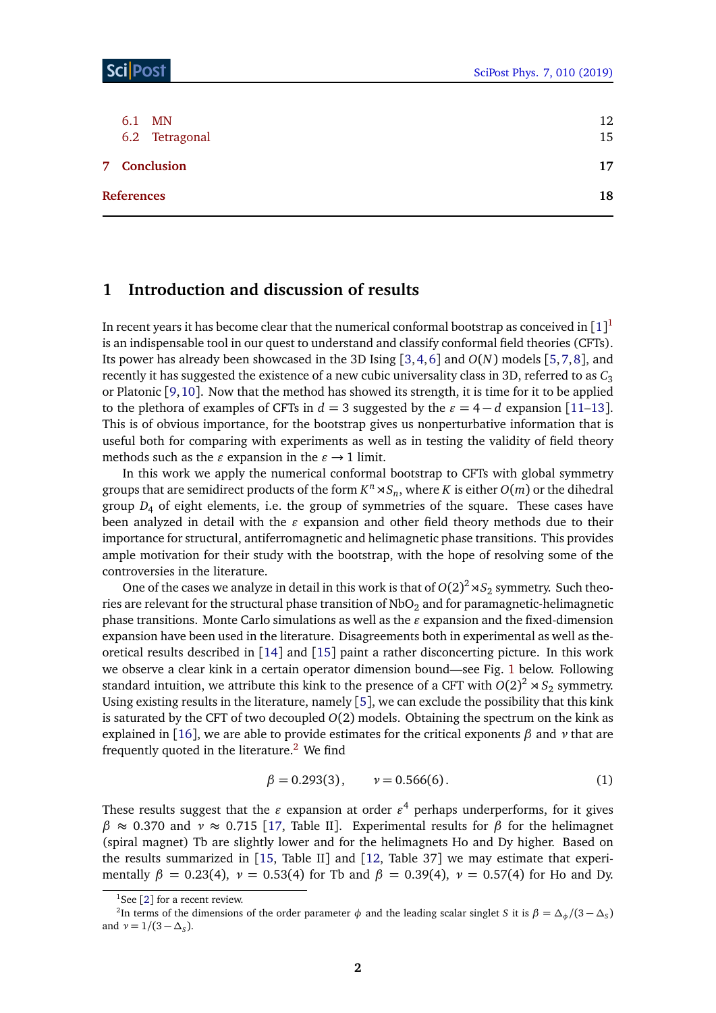| MN<br>6.1<br>6.2 Tetragonal | 12<br>15 |
|-----------------------------|----------|
| 7 Conclusion                | 17       |
| <b>References</b>           | 18       |

# <span id="page-1-0"></span>**1 Introduction and discussion of results**

In recent years it has become clear that the numerical conformal bootstrap as conceived in  $[1]^1$  $[1]^1$  $[1]^1$ is an indispensable tool in our quest to understand and classify conformal field theories (CFTs). Its power has already been showcased in the 3D Ising [[3,](#page-17-1)[4,](#page-17-2)[6](#page-17-3)] and *O*(*N*) models [[5,](#page-17-4)[7,](#page-17-5)[8](#page-17-6)], and recently it has suggested the existence of a new cubic universality class in 3D, referred to as  $C_3$ or Platonic [[9,](#page-17-7)[10](#page-17-8)]. Now that the method has showed its strength, it is time for it to be applied to the plethora of examples of CFTs in  $d = 3$  suggested by the  $\varepsilon = 4 - d$  expansion [[11](#page-17-9)[–13](#page-17-10)]. This is of obvious importance, for the bootstrap gives us nonperturbative information that is useful both for comparing with experiments as well as in testing the validity of field theory methods such as the  $\varepsilon$  expansion in the  $\varepsilon \rightarrow 1$  limit.

In this work we apply the numerical conformal bootstrap to CFTs with global symmetry groups that are semidirect products of the form  $K^n \rtimes S_n$ , where  $K$  is either  $O(m)$  or the dihedral group  $D_4$  of eight elements, i.e. the group of symmetries of the square. These cases have been analyzed in detail with the  $\varepsilon$  expansion and other field theory methods due to their importance for structural, antiferromagnetic and helimagnetic phase transitions. This provides ample motivation for their study with the bootstrap, with the hope of resolving some of the controversies in the literature.

One of the cases we analyze in detail in this work is that of  $O(2)^2 \rtimes S_2$  symmetry. Such theories are relevant for the structural phase transition of  $NbO<sub>2</sub>$  and for paramagnetic-helimagnetic phase transitions. Monte Carlo simulations as well as the  $\varepsilon$  expansion and the fixed-dimension expansion have been used in the literature. Disagreements both in experimental as well as theoretical results described in [[14](#page-17-11)] and [[15](#page-17-12)] paint a rather disconcerting picture. In this work we observe a clear kink in a certain operator dimension bound—see Fig. [1](#page-11-2) below. Following standard intuition, we attribute this kink to the presence of a CFT with  $O(2)^2 \rtimes S_2$  symmetry. Using existing results in the literature, namely [[5](#page-17-4)], we can exclude the possibility that this kink is saturated by the CFT of two decoupled *O*(2) models. Obtaining the spectrum on the kink as explained in [[16](#page-17-13)], we are able to provide estimates for the critical exponents *β* and *ν* that are frequently quoted in the literature.<sup>[2](#page-1-2)</sup> We find

<span id="page-1-3"></span>
$$
\beta = 0.293(3), \qquad \nu = 0.566(6). \tag{1}
$$

These results suggest that the  $\varepsilon$  expansion at order  $\varepsilon^4$  perhaps underperforms, for it gives  $β$  ≈ 0.370 and *ν* ≈ 0.715 [[17,](#page-18-0) Table II]. Experimental results for *β* for the helimagnet (spiral magnet) Tb are slightly lower and for the helimagnets Ho and Dy higher. Based on the results summarized in [[15,](#page-17-12) Table II] and [[12,](#page-17-14) Table 37] we may estimate that experimentally  $\beta = 0.23(4)$ ,  $\nu = 0.53(4)$  for Tb and  $\beta = 0.39(4)$ ,  $\nu = 0.57(4)$  for Ho and Dy.

<span id="page-1-2"></span><span id="page-1-1"></span><sup>&</sup>lt;sup>1</sup>See [[2](#page-17-15)] for a recent review.

<sup>&</sup>lt;sup>2</sup>In terms of the dimensions of the order parameter  $\phi$  and the leading scalar singlet *S* it is  $\beta = \Delta_{\phi}/(3-\Delta_S)$ and  $\nu = 1/(3 - \Delta_S)$ .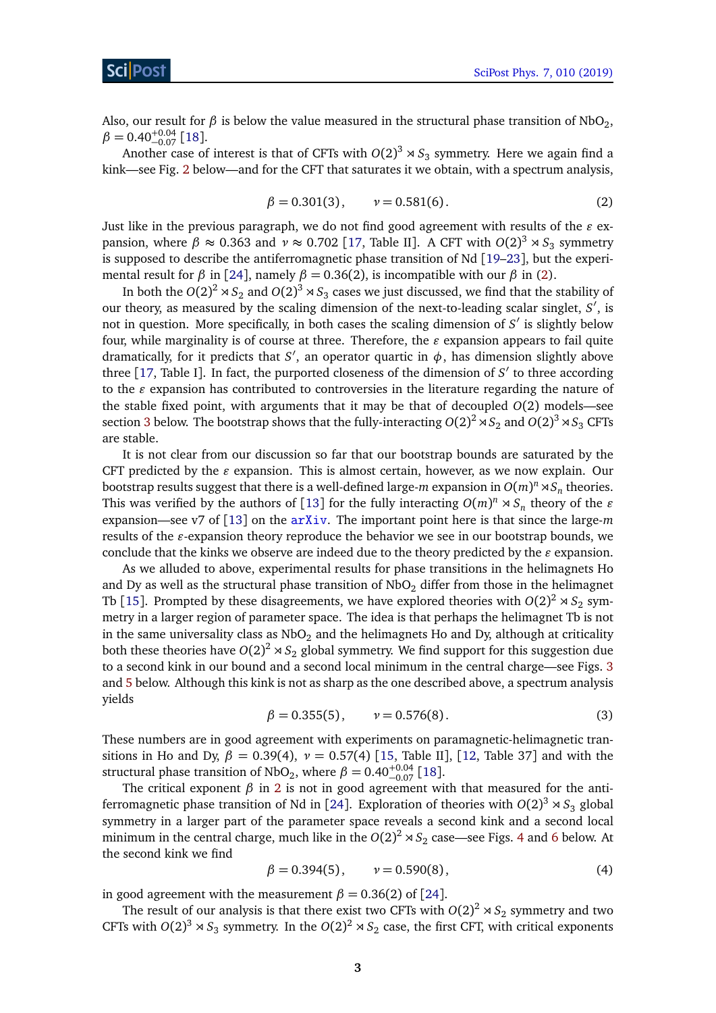Also, our result for  $\beta$  is below the value measured in the structural phase transition of NbO<sub>2</sub>,  $\beta =$  0.40 $^{+0.04}_{-0.07}$  [[18](#page-18-1)].

<span id="page-2-0"></span>Another case of interest is that of CFTs with  $O(2)^3 \rtimes S_3$  symmetry. Here we again find a kink—see Fig. [2](#page-12-0) below—and for the CFT that saturates it we obtain, with a spectrum analysis,

$$
\beta = 0.301(3), \qquad \nu = 0.581(6). \tag{2}
$$

Just like in the previous paragraph, we do not find good agreement with results of the  $\varepsilon$  expansion, where  $\beta \approx 0.363$  and  $\nu \approx 0.702$  [[17,](#page-18-0) Table II]. A CFT with  $O(2)^3 \rtimes S_3$  symmetry is supposed to describe the antiferromagnetic phase transition of Nd [[19](#page-18-2)[–23](#page-18-3)], but the experimental result for  $\beta$  in [[24](#page-18-4)], namely  $\beta = 0.36(2)$  $\beta = 0.36(2)$ , is incompatible with our  $\beta$  in (2).

In both the  $O(2)^2 \rtimes S_2$  and  $O(2)^3 \rtimes S_3$  cases we just discussed, we find that the stability of our theory, as measured by the scaling dimension of the next-to-leading scalar singlet, *S'*, is not in question. More specifically, in both cases the scaling dimension of *S'* is slightly below four, while marginality is of course at three. Therefore, the  $\varepsilon$  expansion appears to fail quite dramatically, for it predicts that *S'*, an operator quartic in  $\phi$ , has dimension slightly above three  $[17,$  $[17,$  Table I]. In fact, the purported closeness of the dimension of  $S'$  to three according to the  $\varepsilon$  expansion has contributed to controversies in the literature regarding the nature of the stable fixed point, with arguments that it may be that of decoupled *O*(2) models—see section [3](#page-6-0) below. The bootstrap shows that the fully-interacting  $O(2)^2 \rtimes S_2$  and  $O(2)^3 \rtimes S_3$  CFTs are stable.

It is not clear from our discussion so far that our bootstrap bounds are saturated by the CFT predicted by the  $\varepsilon$  expansion. This is almost certain, however, as we now explain. Our bootstrap results suggest that there is a well-defined large- $m$  expansion in  $O(m)^n \rtimes S_n$  theories. This was verified by the authors of [[13](#page-17-10)] for the fully interacting  $O(m)^n \rtimes S_n$  theory of the  $\varepsilon$ expansion—see v7 of [[13](#page-17-10)] on the [arXiv](https://arxiv.org/abs/1707.06165v6). The important point here is that since the large-*m* results of the  $\varepsilon$ -expansion theory reproduce the behavior we see in our bootstrap bounds, we conclude that the kinks we observe are indeed due to the theory predicted by the  $\varepsilon$  expansion.

As we alluded to above, experimental results for phase transitions in the helimagnets Ho and Dy as well as the structural phase transition of  $NbO<sub>2</sub>$  differ from those in the helimagnet Tb [[15](#page-17-12)]. Prompted by these disagreements, we have explored theories with  $O(2)^2 \rtimes S_2$  symmetry in a larger region of parameter space. The idea is that perhaps the helimagnet Tb is not in the same universality class as  $NbO<sub>2</sub>$  and the helimagnets Ho and Dy, although at criticality both these theories have  $O(2)^2 \rtimes S_2$  global symmetry. We find support for this suggestion due to a second kink in our bound and a second local minimum in the central charge—see Figs. [3](#page-12-1) and [5](#page-14-1) below. Although this kink is not as sharp as the one described above, a spectrum analysis yields

$$
\beta = 0.355(5), \qquad \nu = 0.576(8). \tag{3}
$$

<span id="page-2-1"></span>These numbers are in good agreement with experiments on paramagnetic-helimagnetic transitions in Ho and Dy,  $\beta = 0.39(4)$ ,  $\nu = 0.57(4)$  [[15,](#page-17-12) Table II], [[12,](#page-17-14) Table 37] and with the structural phase transition of NbO<sub>2</sub>, where  $\beta = 0.40^{+0.04}_{-0.07}$  [[18](#page-18-1)].

The critical exponent  $\beta$  in [2](#page-2-0) is not in good agreement with that measured for the anti-ferromagnetic phase transition of Nd in [[24](#page-18-4)]. Exploration of theories with  $O(2)^3 \rtimes S_3$  global symmetry in a larger part of the parameter space reveals a second kink and a second local minimum in the central charge, much like in the  $O(2)^2 \rtimes S_2$  case—see Figs. [4](#page-13-0) and [6](#page-14-2) below. At the second kink we find

<span id="page-2-2"></span>
$$
\beta = 0.394(5), \qquad \nu = 0.590(8), \tag{4}
$$

in good agreement with the measurement  $\beta = 0.36(2)$  of [[24](#page-18-4)].

The result of our analysis is that there exist two CFTs with  $O(2)^2 \rtimes S_2$  symmetry and two CFTs with  $O(2)^3 \rtimes S_3$  symmetry. In the  $O(2)^2 \rtimes S_2$  case, the first CFT, with critical exponents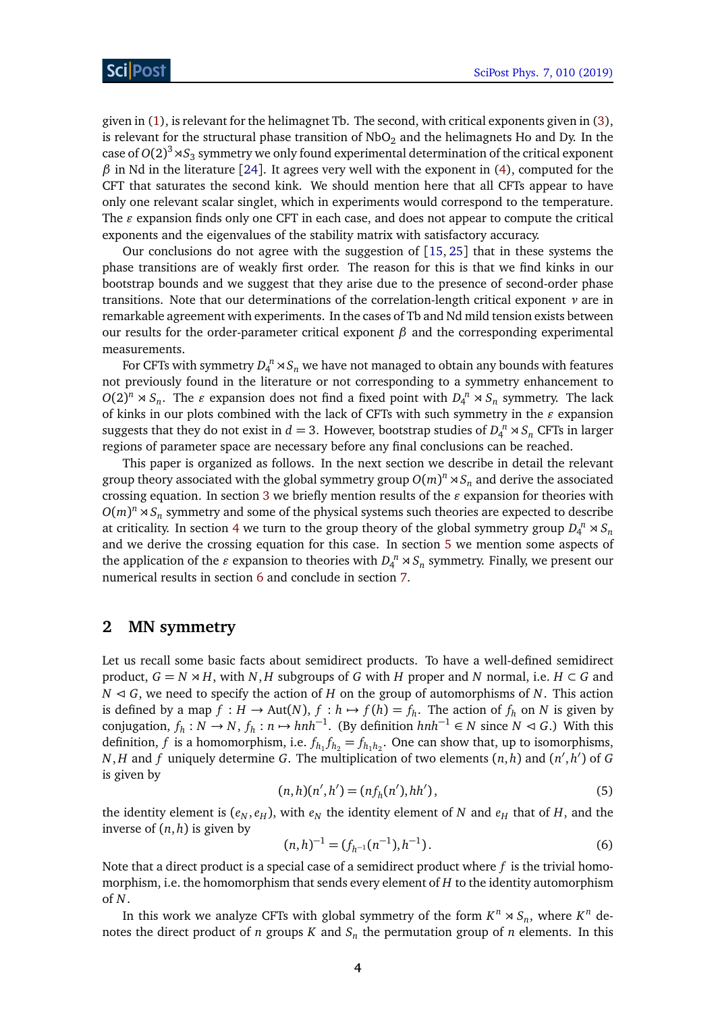given in [\(1\)](#page-1-3), is relevant for the helimagnet Tb. The second, with critical exponents given in [\(3\)](#page-2-1), is relevant for the structural phase transition of  $NbO<sub>2</sub>$  and the helimagnets Ho and Dy. In the case of  $O(2)^3$   $\!\times$   $S_3$  symmetry we only found experimental determination of the critical exponent  $β$  in Nd in the literature [[24](#page-18-4)]. It agrees very well with the exponent in [\(4\)](#page-2-2), computed for the CFT that saturates the second kink. We should mention here that all CFTs appear to have only one relevant scalar singlet, which in experiments would correspond to the temperature. The  $\varepsilon$  expansion finds only one CFT in each case, and does not appear to compute the critical exponents and the eigenvalues of the stability matrix with satisfactory accuracy.

Our conclusions do not agree with the suggestion of [[15,](#page-17-12) [25](#page-18-5)] that in these systems the phase transitions are of weakly first order. The reason for this is that we find kinks in our bootstrap bounds and we suggest that they arise due to the presence of second-order phase transitions. Note that our determinations of the correlation-length critical exponent *ν* are in remarkable agreement with experiments. In the cases of Tb and Nd mild tension exists between our results for the order-parameter critical exponent  $\beta$  and the corresponding experimental measurements.

For CFTs with symmetry  $D_4^{\ n} \rtimes \mathcal{S}_n$  we have not managed to obtain any bounds with features not previously found in the literature or not corresponding to a symmetry enhancement to  $O(2)^n \rtimes S_n$ . The *e* expansion does not find a fixed point with  $D_4^n \rtimes S_n$  symmetry. The lack of kinks in our plots combined with the lack of CFTs with such symmetry in the  $\varepsilon$  expansion suggests that they do not exist in  $d = 3$ . However, bootstrap studies of  $D_4^{\ n} \rtimes S_n$  CFTs in larger regions of parameter space are necessary before any final conclusions can be reached.

This paper is organized as follows. In the next section we describe in detail the relevant group theory associated with the global symmetry group  $O(m)^n \rtimes S_n$  and derive the associated crossing equation. In section [3](#page-6-0) we briefly mention results of the  $\varepsilon$  expansion for theories with  $O(m)^n \rtimes S_n$  symmetry and some of the physical systems such theories are expected to describe at criticality. In section [4](#page-7-0) we turn to the group theory of the global symmetry group  $D_4^{\{n\}} \rtimes S_n$ and we derive the crossing equation for this case. In section [5](#page-10-0) we mention some aspects of the application of the  $\varepsilon$  expansion to theories with  $D_4^n \rtimes S_n$  symmetry. Finally, we present our numerical results in section [6](#page-11-0) and conclude in section [7.](#page-16-0)

## <span id="page-3-0"></span>**2 MN symmetry**

Let us recall some basic facts about semidirect products. To have a well-defined semidirect product,  $G = N \rtimes H$ , with *N*, *H* subgroups of *G* with *H* proper and *N* normal, i.e. *H* ⊂ *G* and  $N \triangleleft G$ , we need to specify the action of *H* on the group of automorphisms of *N*. This action is defined by a map  $f : H \to Aut(N)$ ,  $f : h \to f(h) = f_h$ . The action of  $f_h$  on  $N$  is given by conjugation,  $f_h: N \to N$ ,  $f_h: n \to hnh^{-1}$ . (By definition  $hnh^{-1} \in N$  since  $N \triangleleft G$ .) With this definition,  $f$  is a homomorphism, i.e.  $f_{h_1}f_{h_2} = f_{h_1h_2}$ . One can show that, up to isomorphisms, *N*, *H* and *f* uniquely determine *G*. The multiplication of two elements  $(n, h)$  and  $(n', h')$  of *G* is given by

$$
(n,h)(n',h') = (nf_h(n'),hh'),
$$
\n(5)

the identity element is  $(e_N, e_H)$ , with  $e_N$  the identity element of *N* and  $e_H$  that of *H*, and the inverse of (*n*, *h*) is given by

$$
(n,h)^{-1} = (f_{h^{-1}}(n^{-1}), h^{-1}).
$$
\n(6)

Note that a direct product is a special case of a semidirect product where *f* is the trivial homomorphism, i.e. the homomorphism that sends every element of *H* to the identity automorphism of *N*.

In this work we analyze CFTs with global symmetry of the form  $K^n \rtimes S_n$ , where  $K^n$  denotes the direct product of *n* groups  $K$  and  $S_n$  the permutation group of *n* elements. In this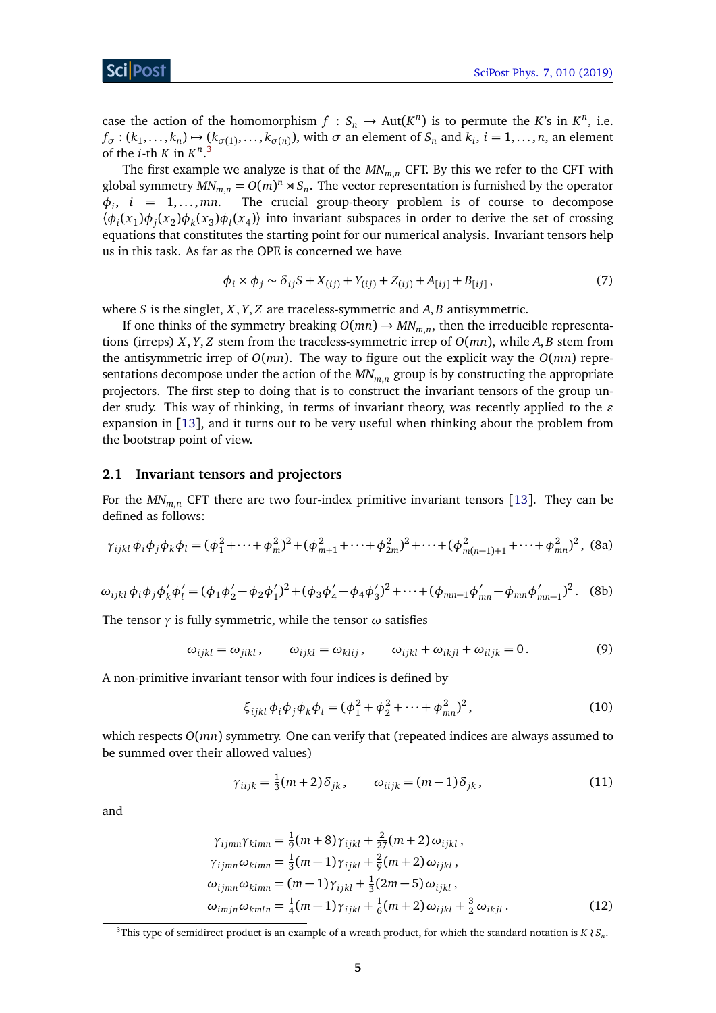case the action of the homomorphism  $f : S_n \to Aut(K^n)$  is to permute the *K*'s in  $K^n$ , i.e.  $f_{\sigma}$ :  $(k_1,...,k_n) \mapsto (k_{\sigma(1)},...,k_{\sigma(n)})$ , with  $\sigma$  an element of  $S_n$  and  $k_i$ ,  $i = 1,...,n$ , an element of the *i*-th *K* in  $K^{n,3}$  $K^{n,3}$  $K^{n,3}$ 

The first example we analyze is that of the *MNm*,*<sup>n</sup>* CFT. By this we refer to the CFT with global symmetry  $MN_{m,n} = O(m)^n \rtimes S_n$ . The vector representation is furnished by the operator  $\phi_i$ ,  $i = 1, \ldots, m$ *n*. The crucial group-theory problem is of course to decompose  $\langle \phi_i(x_1) \phi_j(x_2) \phi_k(x_3) \phi_l(x_4) \rangle$  into invariant subspaces in order to derive the set of crossing equations that constitutes the starting point for our numerical analysis. Invariant tensors help us in this task. As far as the OPE is concerned we have

$$
\phi_i \times \phi_j \sim \delta_{ij} S + X_{(ij)} + Y_{(ij)} + Z_{(ij)} + A_{[ij]} + B_{[ij]},
$$
\n(7)

where *S* is the singlet, *X*, *Y*, *Z* are traceless-symmetric and *A*, *B* antisymmetric.

If one thinks of the symmetry breaking  $O(mn) \to MN_{m,n}$ , then the irreducible representations (irreps) *X*, *Y*, *Z* stem from the traceless-symmetric irrep of *O*(*mn*), while *A*, *B* stem from the antisymmetric irrep of *O*(*mn*). The way to figure out the explicit way the *O*(*mn*) representations decompose under the action of the *MNm*,*<sup>n</sup>* group is by constructing the appropriate projectors. The first step to doing that is to construct the invariant tensors of the group under study. This way of thinking, in terms of invariant theory, was recently applied to the  $\varepsilon$ expansion in [[13](#page-17-10)], and it turns out to be very useful when thinking about the problem from the bootstrap point of view.

#### <span id="page-4-0"></span>**2.1 Invariant tensors and projectors**

For the *MNm*,*<sup>n</sup>* CFT there are two four-index primitive invariant tensors [[13](#page-17-10)]. They can be defined as follows:

$$
\gamma_{ijkl}\,\phi_i\phi_j\phi_k\phi_l = (\phi_1^2 + \dots + \phi_m^2)^2 + (\phi_{m+1}^2 + \dots + \phi_{2m}^2)^2 + \dots + (\phi_{m(n-1)+1}^2 + \dots + \phi_{mn}^2)^2, \text{ (8a)}
$$

<span id="page-4-4"></span>
$$
\omega_{ijkl}\,\phi_i\phi_j\phi'_k\phi'_l = (\phi_1\phi'_2 - \phi_2\phi'_1)^2 + (\phi_3\phi'_4 - \phi_4\phi'_3)^2 + \dots + (\phi_{mn-1}\phi'_{mn} - \phi_{mn}\phi'_{mn-1})^2. \tag{8b}
$$

The tensor *γ* is fully symmetric, while the tensor *ω* satisfies

$$
\omega_{ijkl} = \omega_{jikl}, \qquad \omega_{ijkl} = \omega_{klij}, \qquad \omega_{ijkl} + \omega_{ikjl} + \omega_{iljk} = 0. \tag{9}
$$

A non-primitive invariant tensor with four indices is defined by

<span id="page-4-5"></span><span id="page-4-2"></span>
$$
\xi_{ijkl}\phi_i\phi_j\phi_k\phi_l = (\phi_1^2 + \phi_2^2 + \dots + \phi_{mn}^2)^2, \qquad (10)
$$

which respects *O*(*mn*) symmetry. One can verify that (repeated indices are always assumed to be summed over their allowed values)

<span id="page-4-3"></span>
$$
\gamma_{iijk} = \frac{1}{3}(m+2)\delta_{jk}, \qquad \omega_{iijk} = (m-1)\delta_{jk}, \qquad (11)
$$

and

$$
\gamma_{ijmn}\gamma_{klmn} = \frac{1}{9}(m+8)\gamma_{ijkl} + \frac{2}{27}(m+2)\omega_{ijkl}, \n\gamma_{ijmn}\omega_{klmn} = \frac{1}{3}(m-1)\gamma_{ijkl} + \frac{2}{9}(m+2)\omega_{ijkl}, \n\omega_{ijmn}\omega_{klmn} = (m-1)\gamma_{ijkl} + \frac{1}{3}(2m-5)\omega_{ijkl}, \n\omega_{imjn}\omega_{kmln} = \frac{1}{4}(m-1)\gamma_{ijkl} + \frac{1}{6}(m+2)\omega_{ijkl} + \frac{3}{2}\omega_{ikjl}.
$$
\n(12)

<span id="page-4-1"></span> $^3$ This type of semidirect product is an example of a wreath product, for which the standard notation is *K*  $\wr$  *S*<sub>*n*</sub>.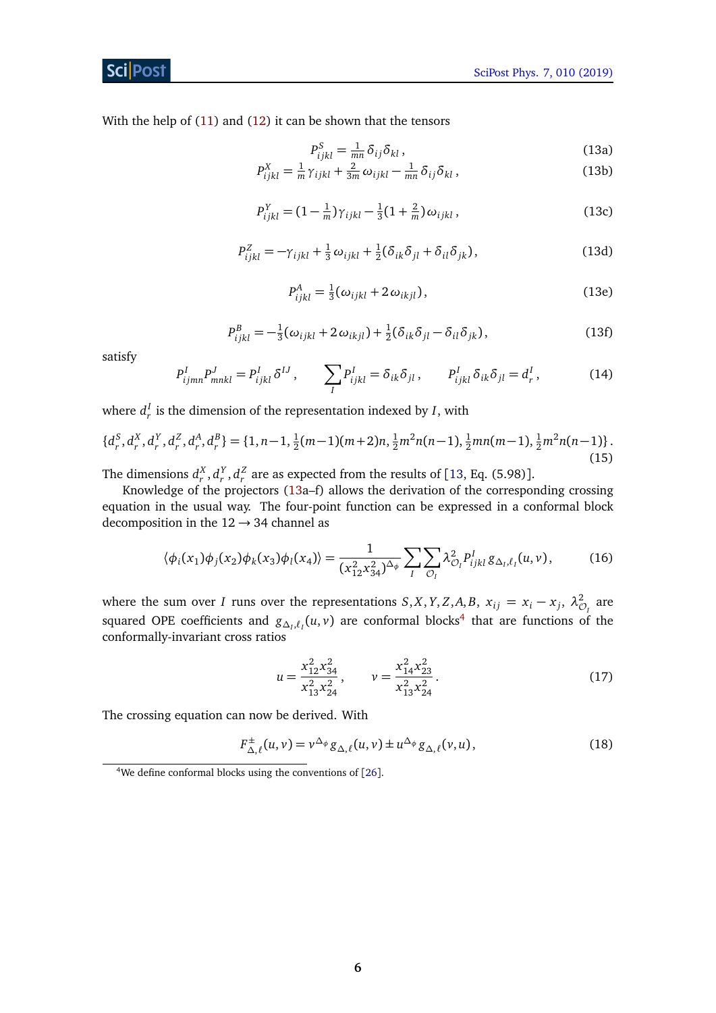### Sci Post

With the help of [\(11\)](#page-4-2) and [\(12\)](#page-4-3) it can be shown that the tensors

<span id="page-5-0"></span>
$$
P_{ijkl}^S = \frac{1}{mn} \delta_{ij} \delta_{kl} , \qquad (13a)
$$

$$
P_{ijkl}^X = \frac{1}{m} \gamma_{ijkl} + \frac{2}{3m} \omega_{ijkl} - \frac{1}{mn} \delta_{ij} \delta_{kl},
$$
 (13b)

$$
P_{ijkl}^{Y} = (1 - \frac{1}{m})\gamma_{ijkl} - \frac{1}{3}(1 + \frac{2}{m})\omega_{ijkl},
$$
\n(13c)

$$
P_{ijkl}^Z = -\gamma_{ijkl} + \frac{1}{3}\omega_{ijkl} + \frac{1}{2}(\delta_{ik}\delta_{jl} + \delta_{il}\delta_{jk}),
$$
 (13d)

$$
P_{ijkl}^A = \frac{1}{3}(\omega_{ijkl} + 2\omega_{ikjl}),
$$
\n(13e)

$$
P_{ijkl}^B = -\frac{1}{3}(\omega_{ijkl} + 2\omega_{ikjl}) + \frac{1}{2}(\delta_{ik}\delta_{jl} - \delta_{il}\delta_{jk}),
$$
\n(13f)

satisfy

$$
P_{ijmn}^I P_{mnkl}^J = P_{ijkl}^I \delta^{IJ} , \qquad \sum_I P_{ijkl}^I = \delta_{ik} \delta_{jl} , \qquad P_{ijkl}^I \delta_{ik} \delta_{jl} = d_r^I , \qquad (14)
$$

where  $d_r^I$  is the dimension of the representation indexed by *I*, with

$$
\{d_r^S, d_r^X, d_r^Y, d_r^Z, d_r^A, d_r^B\} = \{1, n-1, \frac{1}{2}(m-1)(m+2)n, \frac{1}{2}m^2n(n-1), \frac{1}{2}mn(m-1), \frac{1}{2}m^2n(n-1)\}.
$$
\n(15)

The dimensions  $d_r^X$ ,  $d_r^Y$ ,  $d_r^Z$  are as expected from the results of [[13,](#page-17-10) Eq. (5.98)].

Knowledge of the projectors [\(13a](#page-5-0)–f) allows the derivation of the corresponding crossing equation in the usual way. The four-point function can be expressed in a conformal block decomposition in the  $12 \rightarrow 34$  channel as

$$
\langle \phi_i(x_1)\phi_j(x_2)\phi_k(x_3)\phi_l(x_4)\rangle = \frac{1}{(x_{12}^2 x_{34}^2)^{\Delta_{\phi}}} \sum_{I} \sum_{\mathcal{O}_I} \lambda_{\mathcal{O}_I}^2 P_{ijkl}^I g_{\Delta_I, \ell_I}(u, v), \tag{16}
$$

where the sum over *I* runs over the representations  $S, X, Y, Z, A, B, x_{ij} = x_i - x_j, \lambda_{\mathcal{O}_I}^2$  are squared OPE coefficients and  $g_{\Delta_l, \ell_l}(u, v)$  are conformal blocks<sup>[4](#page-5-1)</sup> that are functions of the conformally-invariant cross ratios

$$
u = \frac{x_{12}^2 x_{34}^2}{x_{13}^2 x_{24}^2}, \qquad v = \frac{x_{14}^2 x_{23}^2}{x_{13}^2 x_{24}^2}.
$$
 (17)

The crossing equation can now be derived. With

$$
F_{\Delta,\ell}^{\pm}(u,v) = v^{\Delta_{\phi}} g_{\Delta,\ell}(u,v) \pm u^{\Delta_{\phi}} g_{\Delta,\ell}(v,u), \qquad (18)
$$

<span id="page-5-1"></span><sup>&</sup>lt;sup>4</sup>We define conformal blocks using the conventions of  $[26]$  $[26]$  $[26]$ .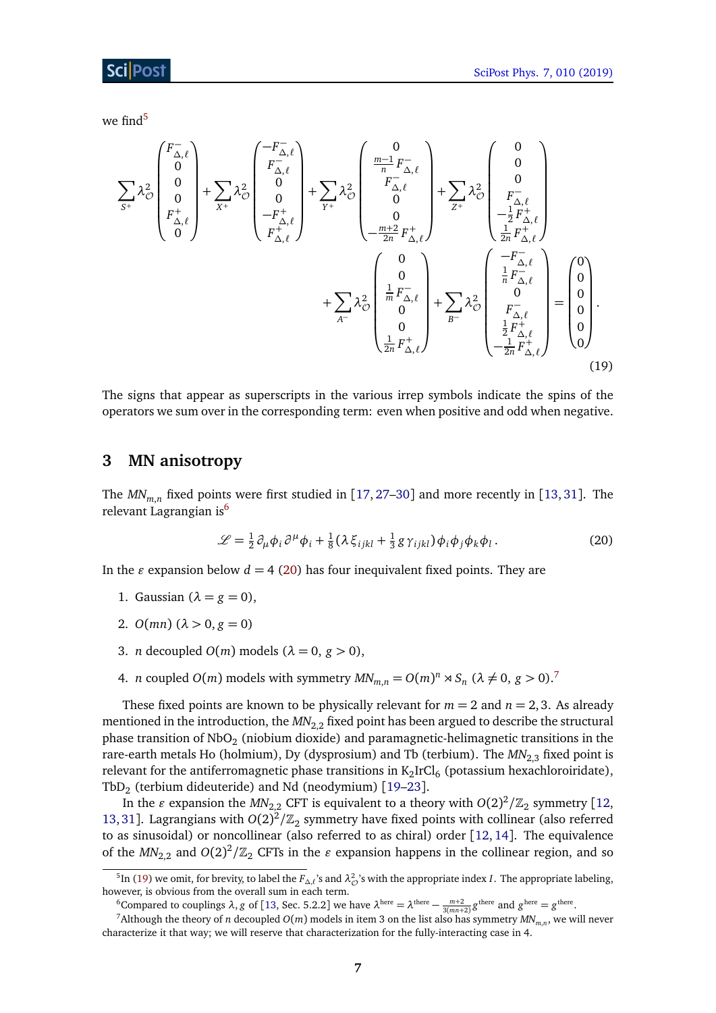we find $5$ 

$$
\sum_{S^{+}} \lambda_{\mathcal{O}}^{2} \begin{pmatrix} F_{\Delta,\ell}^{-} \\ 0 \\ 0 \\ F_{\Delta,\ell}^{+} \\ 0 \end{pmatrix} + \sum_{X^{+}} \lambda_{\mathcal{O}}^{2} \begin{pmatrix} -F_{\Delta,\ell}^{-} \\ F_{\Delta,\ell}^{-} \\ 0 \\ -F_{\Delta,\ell}^{+} \\ F_{\Delta,\ell}^{+} \end{pmatrix} + \sum_{\gamma^{+}} \lambda_{\mathcal{O}}^{2} \begin{pmatrix} 0 \\ \frac{m-1}{n}F_{\Delta,\ell}^{-} \\ 0 \\ 0 \\ -\frac{m+2}{2n}F_{\Delta,\ell}^{+} \\ -\frac{m+2}{2n}F_{\Delta,\ell}^{+} \end{pmatrix} + \sum_{\gamma^{+}} \lambda_{\mathcal{O}}^{2} \begin{pmatrix} 0 \\ 0 \\ F_{\Delta,\ell}^{-} \\ -\frac{1}{2}F_{\Delta,\ell}^{+} \\ \frac{1}{2n}F_{\Delta,\ell}^{+} \\ 0 \\ 0 \end{pmatrix} + \sum_{A^{-}} \lambda_{\mathcal{O}}^{2} \begin{pmatrix} 0 \\ 0 \\ \frac{1}{n}F_{\Delta,\ell}^{-} \\ 0 \\ 0 \\ \frac{1}{2n}F_{\Delta,\ell}^{+} \\ F_{\Delta,\ell}^{-} \end{pmatrix} + \sum_{B^{-}} \lambda_{\mathcal{O}}^{2} \begin{pmatrix} -F_{\Delta,\ell}^{-} \\ \frac{1}{n}F_{\Delta,\ell}^{-} \\ 0 \\ \frac{1}{2}F_{\Delta,\ell}^{+} \\ -\frac{1}{2n}F_{\Delta,\ell}^{+} \end{pmatrix} = \begin{pmatrix} 0 \\ 0 \\ 0 \\ 0 \\ 0 \end{pmatrix}.
$$
\n(19)

The signs that appear as superscripts in the various irrep symbols indicate the spins of the operators we sum over in the corresponding term: even when positive and odd when negative.

# <span id="page-6-0"></span>**3 MN anisotropy**

The  $MN_{m,n}$  fixed points were first studied in [[17,](#page-18-0) [27](#page-18-7)[–30](#page-18-8)] and more recently in [[13,](#page-17-10) [31](#page-18-9)]. The relevant Lagrangian is<sup>[6](#page-6-2)</sup>

<span id="page-6-5"></span><span id="page-6-3"></span>
$$
\mathcal{L} = \frac{1}{2} \partial_{\mu} \phi_i \partial^{\mu} \phi_i + \frac{1}{8} (\lambda \xi_{ijkl} + \frac{1}{3} g \gamma_{ijkl}) \phi_i \phi_j \phi_k \phi_l.
$$
 (20)

In the  $\varepsilon$  expansion below  $d = 4$  [\(20\)](#page-6-3) has four inequivalent fixed points. They are

- 1. Gaussian  $(\lambda = g = 0)$ ,
- 2.  $O(mn)$  ( $\lambda > 0, g = 0$ )
- 3. *n* decoupled  $O(m)$  models  $(\lambda = 0, g > 0)$ ,
- 4. *n* coupled  $O(m)$  models with symmetry  $MN_{m,n} = O(m)^n \rtimes S_n$  ( $\lambda \neq 0$ ,  $g > 0$ ).<sup>[7](#page-6-4)</sup>

These fixed points are known to be physically relevant for  $m = 2$  and  $n = 2, 3$ . As already mentioned in the introduction, the *MN*<sub>2.2</sub> fixed point has been argued to describe the structural phase transition of NbO $_2$  (niobium dioxide) and paramagnetic-helimagnetic transitions in the rare-earth metals Ho (holmium), Dy (dysprosium) and Tb (terbium). The  $MN_{2,3}$  fixed point is relevant for the antiferromagnetic phase transitions in  $\mathrm{K_2IrCl_6}$  (potassium hexachloroiridate), Tb $D_2$  (terbium dideuteride) and Nd (neodymium) [[19–](#page-18-2)[23](#page-18-3)].

In the  $\varepsilon$  expansion the  $M\!N_{2,2}$  CFT is equivalent to a theory with  $O(2)^2/\mathbb{Z}_2$  symmetry [[12,](#page-17-14) [13,](#page-17-10) [31](#page-18-9)]. Lagrangians with  $O(2)^2/\mathbb{Z}_2$  symmetry have fixed points with collinear (also referred to as sinusoidal) or noncollinear (also referred to as chiral) order [[12,](#page-17-14) [14](#page-17-11)]. The equivalence of the  $MN_{2,2}$  and  $O(2)^2/\mathbb{Z}_2$  CFTs in the  $\varepsilon$  expansion happens in the collinear region, and so

<span id="page-6-1"></span><sup>&</sup>lt;sup>5</sup>In [\(19\)](#page-6-5) we omit, for brevity, to label the  $F_{\Delta,\ell}$ 's and  $\lambda_C^2$ 's with the appropriate index *I*. The appropriate labeling, however, is obvious from the overall sum in each term.

<span id="page-6-4"></span><span id="page-6-2"></span><sup>&</sup>lt;sup>6</sup>Compared to couplings  $λ$ , *g* of [[13,](#page-17-10) Sec. 5.2.2] we have  $λ^{\text{here}} = λ^{\text{there}} - \frac{m+2}{3(mn+2)} g^{\text{there}}$  and  $g^{\text{here}} = g^{\text{there}}$ .

 $^7$ Although the theory of *n* decoupled  $O(m)$  models in item 3 on the list also has symmetry  $M\!N_{m,n}$ , we will never characterize it that way; we will reserve that characterization for the fully-interacting case in 4.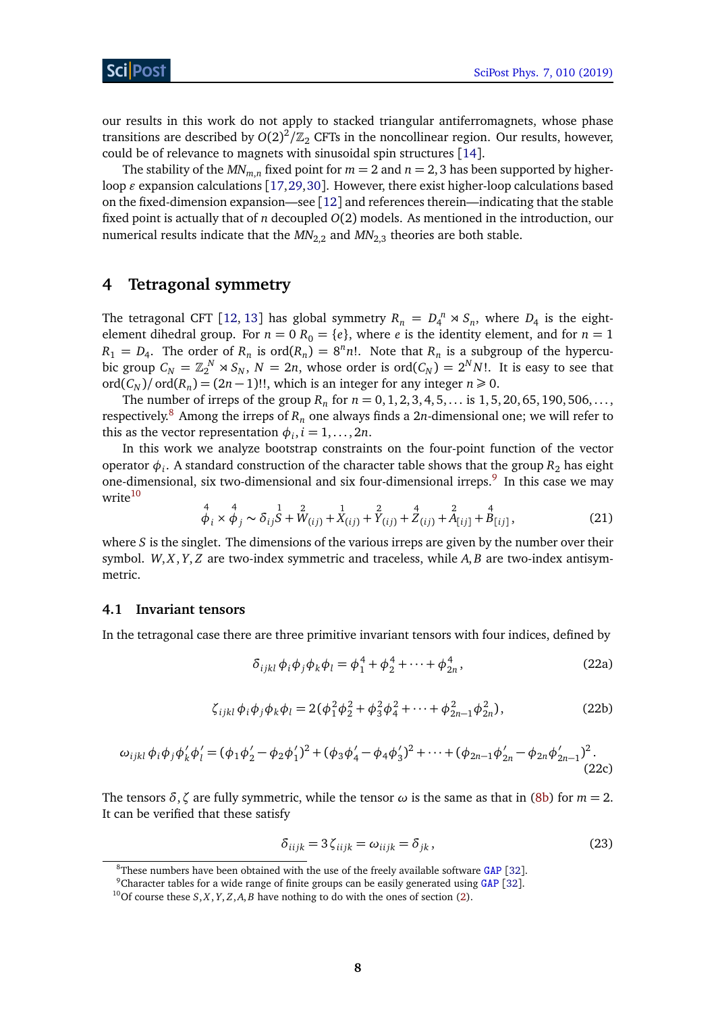our results in this work do not apply to stacked triangular antiferromagnets, whose phase transitions are described by  $O(2)^2/\mathbb{Z}_2$  CFTs in the noncollinear region. Our results, however, could be of relevance to magnets with sinusoidal spin structures [[14](#page-17-11)].

The stability of the  $MN_{m,n}$  fixed point for  $m = 2$  and  $n = 2, 3$  has been supported by higherloop  $\varepsilon$  expansion calculations [[17,](#page-18-0)[29,](#page-18-10)[30](#page-18-8)]. However, there exist higher-loop calculations based on the fixed-dimension expansion—see [[12](#page-17-14)] and references therein—indicating that the stable fixed point is actually that of *n* decoupled *O*(2) models. As mentioned in the introduction, our numerical results indicate that the  $MN_{2,2}$  and  $MN_{2,3}$  theories are both stable.

# <span id="page-7-0"></span>**4 Tetragonal symmetry**

The tetragonal CFT [[12,](#page-17-14) [13](#page-17-10)] has global symmetry  $R_n = D_4^n \rtimes S_n$ , where  $D_4$  is the eightelement dihedral group. For  $n = 0$   $R_0 = \{e\}$ , where *e* is the identity element, and for  $n = 1$  $R_1 = D_4$ . The order of  $R_n$  is ord $(R_n) = 8^n n!$ . Note that  $R_n$  is a subgroup of the hypercubic group  $C_N = \mathbb{Z}_2^N \rtimes S_N$ ,  $N = 2n$ , whose order is  $\text{ord}(C_N) = 2^N N!$ . It is easy to see that ord( $C_N$ )/ ord( $R_n$ ) = (2*n* − 1)!!, which is an integer for any integer *n* ≥ 0.

The number of irreps of the group  $R_n$  for  $n = 0, 1, 2, 3, 4, 5, \ldots$  is  $1, 5, 20, 65, 190, 506, \ldots$ , respectively.<sup>[8](#page-7-2)</sup> Among the irreps of  $R_n$  one always finds a 2*n*-dimensional one; we will refer to this as the vector representation  $\phi_i, i = 1, \ldots, 2n$ .

In this work we analyze bootstrap constraints on the four-point function of the vector operator  $\phi_i$ . A standard construction of the character table shows that the group  $R_2$  has eight one-dimensional, six two-dimensional and six four-dimensional irreps.<sup>[9](#page-7-3)</sup> In this case we may write<sup>[10](#page-7-4)</sup>

<span id="page-7-7"></span>
$$
\stackrel{4}{\phi_i} \times \stackrel{4}{\phi_j} \sim \delta_{ij} \stackrel{1}{S} + \stackrel{2}{W}_{(ij)} + \stackrel{1}{X}_{(ij)} + \stackrel{2}{Y}_{(ij)} + \stackrel{4}{Z}_{(ij)} + \stackrel{2}{A}_{[ij]} + \stackrel{4}{B}_{[ij]},
$$
\n(21)

where *S* is the singlet. The dimensions of the various irreps are given by the number over their symbol. *W*, *X*, *Y*, *Z* are two-index symmetric and traceless, while *A*, *B* are two-index antisymmetric.

#### <span id="page-7-1"></span>**4.1 Invariant tensors**

In the tetragonal case there are three primitive invariant tensors with four indices, defined by

<span id="page-7-5"></span>
$$
\delta_{ijkl} \phi_i \phi_j \phi_k \phi_l = \phi_1^4 + \phi_2^4 + \dots + \phi_{2n}^4, \qquad (22a)
$$

$$
\zeta_{ijkl}\phi_i\phi_j\phi_k\phi_l = 2(\phi_1^2\phi_2^2 + \phi_3^2\phi_4^2 + \dots + \phi_{2n-1}^2\phi_{2n}^2),
$$
\n(22b)

$$
\omega_{ijkl}\phi_i\phi_j\phi'_k\phi'_l = (\phi_1\phi'_2 - \phi_2\phi'_1)^2 + (\phi_3\phi'_4 - \phi_4\phi'_3)^2 + \dots + (\phi_{2n-1}\phi'_{2n} - \phi_{2n}\phi'_{2n-1})^2.
$$
\n(22c)

The tensors *δ*, *ζ* are fully symmetric, while the tensor  $ω$  is the same as that in [\(8b\)](#page-4-4) for  $m = 2$ . It can be verified that these satisfy

<span id="page-7-6"></span>
$$
\delta_{iijk} = 3\zeta_{iijk} = \omega_{iijk} = \delta_{jk},\qquad(23)
$$

<span id="page-7-2"></span> ${}^{8}$ These numbers have been obtained with the use of the freely available software [GAP](https://www.gap-system.org) [[32](#page-18-11)].

<span id="page-7-3"></span><sup>9</sup>Character tables for a wide range of finite groups can be easily generated using [GAP](https://www.gap-system.org) [[32](#page-18-11)].

<span id="page-7-4"></span><sup>&</sup>lt;sup>10</sup>Of course these  $S$ ,  $X$ ,  $Y$ ,  $Z$ ,  $A$ ,  $B$  have nothing to do with the ones of section [\(2\)](#page-3-0).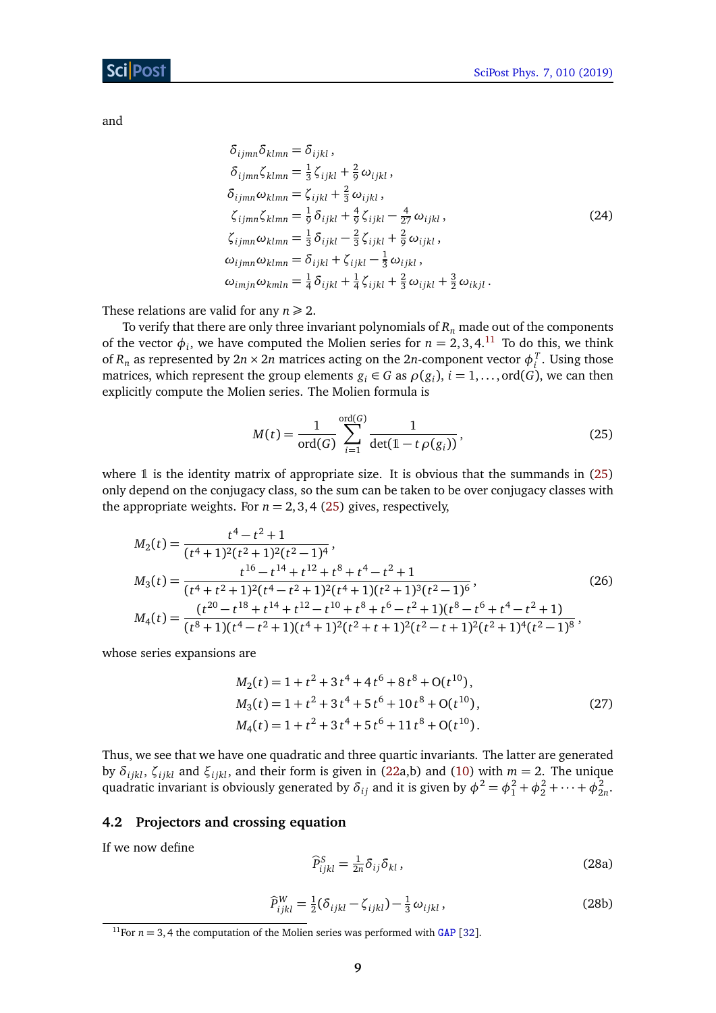and

<span id="page-8-3"></span>
$$
\delta_{ijmn}\delta_{klmn} = \delta_{ijkl},
$$
\n
$$
\delta_{ijmn}\zeta_{klmn} = \frac{1}{3}\zeta_{ijkl} + \frac{2}{9}\omega_{ijkl},
$$
\n
$$
\delta_{ijmn}\omega_{klmn} = \zeta_{ijkl} + \frac{2}{3}\omega_{ijkl},
$$
\n
$$
\zeta_{ijmn}\zeta_{klmn} = \frac{1}{9}\delta_{ijkl} + \frac{4}{9}\zeta_{ijkl} - \frac{4}{27}\omega_{ijkl},
$$
\n
$$
\zeta_{ijmn}\omega_{klmn} = \frac{1}{3}\delta_{ijkl} - \frac{2}{3}\zeta_{ijkl} + \frac{2}{9}\omega_{ijkl},
$$
\n
$$
\omega_{ijmn}\omega_{klmn} = \delta_{ijkl} + \zeta_{ijkl} - \frac{1}{3}\omega_{ijkl},
$$
\n
$$
\omega_{imjn}\omega_{kmln} = \frac{1}{4}\delta_{ijkl} + \frac{1}{4}\zeta_{ijkl} + \frac{2}{3}\omega_{ijkl} + \frac{3}{2}\omega_{ikjl}.
$$
\n(24)

These relations are valid for any  $n \geq 2$ .

To verify that there are only three invariant polynomials of *R<sup>n</sup>* made out of the components of the vector  $\phi_i$ , we have computed the Molien series for  $n = 2, 3, 4$ .<sup>[11](#page-8-1)</sup> To do this, we think of  $R_n$  as represented by  $2n \times 2n$  matrices acting on the  $2n$ -component vector  $\phi_i^T$ . Using those matrices, which represent the group elements  $g_i \in G$  as  $\rho(g_i)$ ,  $i = 1, \ldots, \text{ord}(G)$ , we can then explicitly compute the Molien series. The Molien formula is

<span id="page-8-2"></span>
$$
M(t) = \frac{1}{\text{ord}(G)} \sum_{i=1}^{\text{ord}(G)} \frac{1}{\det(1 - t \rho(g_i))},
$$
(25)

where  $\mathbb 1$  is the identity matrix of appropriate size. It is obvious that the summands in [\(25\)](#page-8-2) only depend on the conjugacy class, so the sum can be taken to be over conjugacy classes with the appropriate weights. For  $n = 2, 3, 4$  [\(25\)](#page-8-2) gives, respectively,

$$
M_2(t) = \frac{t^4 - t^2 + 1}{(t^4 + 1)^2(t^2 + 1)^2(t^2 - 1)^4},
$$
  
\n
$$
M_3(t) = \frac{t^{16} - t^{14} + t^{12} + t^8 + t^4 - t^2 + 1}{(t^4 + t^2 + 1)^2(t^4 - t^2 + 1)^2(t^4 + 1)(t^2 + 1)^3(t^2 - 1)^6},
$$
  
\n
$$
M_4(t) = \frac{(t^{20} - t^{18} + t^{14} + t^{12} - t^{10} + t^8 + t^6 - t^2 + 1)(t^8 - t^6 + t^4 - t^2 + 1)}{(t^8 + 1)(t^4 - t^2 + 1)(t^4 + 1)^2(t^2 + t + 1)^2(t^2 - t + 1)^2(t^2 + 1)^4(t^2 - 1)^8},
$$
\n(26)

whose series expansions are

$$
M_2(t) = 1 + t^2 + 3t^4 + 4t^6 + 8t^8 + O(t^{10}),
$$
  
\n
$$
M_3(t) = 1 + t^2 + 3t^4 + 5t^6 + 10t^8 + O(t^{10}),
$$
  
\n
$$
M_4(t) = 1 + t^2 + 3t^4 + 5t^6 + 11t^8 + O(t^{10}).
$$
\n(27)

Thus, we see that we have one quadratic and three quartic invariants. The latter are generated by *δi jkl*, *ζi jkl* and *ξi jkl*, and their form is given in [\(22a](#page-7-5),b) and [\(10\)](#page-4-5) with *m* = 2. The unique quadratic invariant is obviously generated by  $\delta_{ij}$  and it is given by  $\phi^2 = \phi_1^2 + \phi_2^2 + \cdots + \phi_{2n}^2$ .

#### <span id="page-8-0"></span>**4.2 Projectors and crossing equation**

If we now define

$$
\widehat{P}_{ijkl}^S = \frac{1}{2n} \delta_{ij} \delta_{kl} , \qquad (28a)
$$

<span id="page-8-4"></span>
$$
\widehat{P}_{ijkl}^W = \frac{1}{2} (\delta_{ijkl} - \zeta_{ijkl}) - \frac{1}{3} \omega_{ijkl},
$$
\n(28b)

<span id="page-8-1"></span><sup>&</sup>lt;sup>11</sup>For  $n = 3$ , 4 the computation of the Molien series was performed with [GAP](https://www.gap-system.org) [[32](#page-18-11)].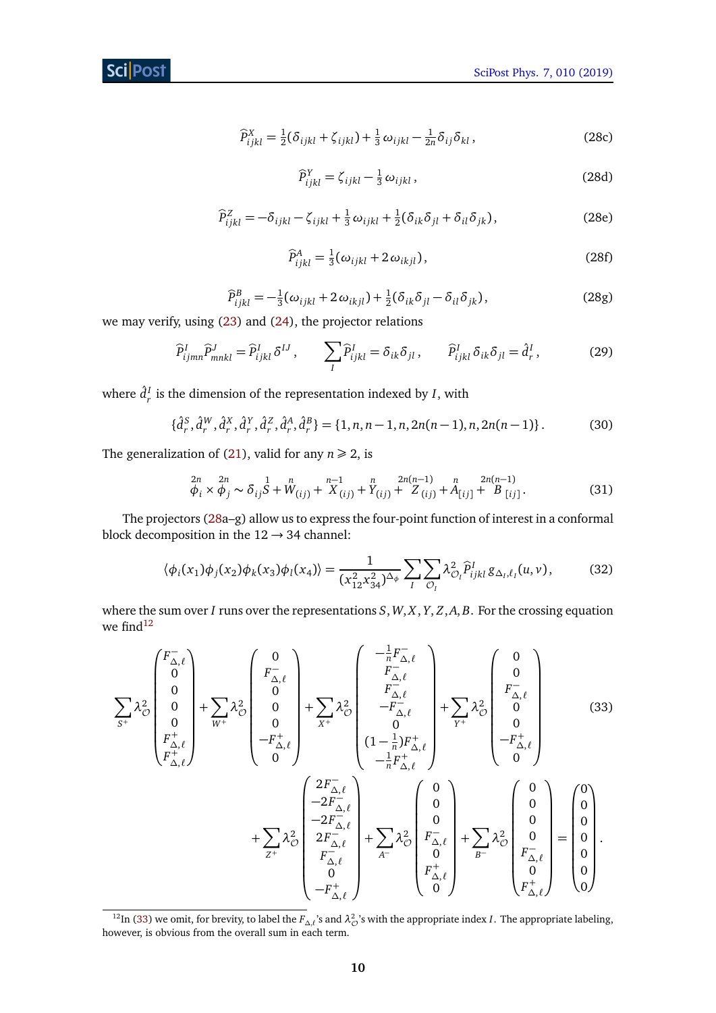$$
\widehat{P}_{ijkl}^X = \frac{1}{2} (\delta_{ijkl} + \zeta_{ijkl}) + \frac{1}{3} \omega_{ijkl} - \frac{1}{2n} \delta_{ij} \delta_{kl},
$$
\n(28c)

$$
\widehat{P}_{ijkl}^Y = \zeta_{ijkl} - \frac{1}{3} \omega_{ijkl},\tag{28d}
$$

$$
\widehat{P}_{ijkl}^Z = -\delta_{ijkl} - \zeta_{ijkl} + \frac{1}{3}\omega_{ijkl} + \frac{1}{2}(\delta_{ik}\delta_{jl} + \delta_{il}\delta_{jk}),
$$
\n(28e)

$$
\widehat{P}_{ijkl}^A = \frac{1}{3} (\omega_{ijkl} + 2 \omega_{ikjl}), \qquad (28f)
$$

$$
\widehat{P}_{ijkl}^B = -\frac{1}{3}(\omega_{ijkl} + 2\omega_{ikjl}) + \frac{1}{2}(\delta_{ik}\delta_{jl} - \delta_{il}\delta_{jk}),
$$
\n(28g)

we may verify, using [\(23\)](#page-7-6) and [\(24\)](#page-8-3), the projector relations

$$
\widehat{P}_{ijmn}^I \widehat{P}_{mnkl}^J = \widehat{P}_{ijkl}^I \delta^{IJ}, \qquad \sum_I \widehat{P}_{ijkl}^I = \delta_{ik} \delta_{jl}, \qquad \widehat{P}_{ijkl}^I \delta_{ik} \delta_{jl} = \widehat{d}_r^I,
$$
\n(29)

where  $\hat{d}^I_r$  is the dimension of the representation indexed by *I*, with

$$
\{\hat{d}_r^S, \hat{d}_r^W, \hat{d}_r^X, \hat{d}_r^Y, \hat{d}_r^Z, \hat{d}_r^A, \hat{d}_r^B\} = \{1, n, n-1, n, 2n(n-1), n, 2n(n-1)\}.
$$
 (30)

The generalization of [\(21\)](#page-7-7), valid for any  $n \ge 2$ , is

$$
\begin{array}{ll}\n\frac{2n}{\phi_i} \times \frac{2n}{\phi_j} \sim \delta_{ij} \frac{1}{S} + W_{(ij)} + X_{(ij)} + Y_{(ij)} + Z_{(ij)} + A_{[ij]} + A_{[ij]} + B_{[ij]}.\n\end{array} \tag{31}
$$

The projectors [\(28a](#page-8-4)–g) allow us to express the four-point function of interest in a conformal block decomposition in the  $12 \rightarrow 34$  channel:

<span id="page-9-1"></span>
$$
\langle \phi_i(x_1) \phi_j(x_2) \phi_k(x_3) \phi_l(x_4) \rangle = \frac{1}{(x_{12}^2 x_{34}^2)^{\Delta_{\phi}}} \sum_{I} \sum_{\mathcal{O}_I} \lambda_{\mathcal{O}_I}^2 \widehat{P}_{ijkl}^I g_{\Delta_I, \ell_I}(u, v), \tag{32}
$$

where the sum over *I* runs over the representations *S*,*W*, *X*, *Y*, *Z*,*A*, *B*. For the crossing equation we find $12$ 

$$
\sum_{S^{+}} \lambda_{\mathcal{O}}^{2} \begin{pmatrix} F_{\Delta,\ell}^{-} \\ 0 \\ 0 \\ 0 \\ F_{\Delta,\ell}^{+} \\ F_{\Delta,\ell}^{+} \end{pmatrix} + \sum_{W^{+}} \lambda_{\mathcal{O}}^{2} \begin{pmatrix} 0 \\ F_{\Delta,\ell}^{-} \\ 0 \\ 0 \\ -F_{\Delta,\ell}^{+} \\ 0 \end{pmatrix} + \sum_{X^{+}} \lambda_{\mathcal{O}}^{2} \begin{pmatrix} -\frac{1}{n}F_{\Delta,\ell}^{-} \\ F_{\Delta,\ell}^{-} \\ -F_{\Delta,\ell}^{-} \\ 0 \\ -\frac{1}{n}F_{\Delta,\ell}^{+} \\ -\frac{1}{n}F_{\Delta,\ell}^{+} \\ -\frac{1}{n}F_{\Delta,\ell}^{+} \end{pmatrix} + \sum_{Y^{+}} \lambda_{\mathcal{O}}^{2} \begin{pmatrix} 0 \\ 0 \\ -F_{\Delta,\ell}^{+} \\ -\frac{1}{n}F_{\Delta,\ell}^{+} \\ -\frac{1}{n}F_{\Delta,\ell}^{+} \\ 0 \\ -2F_{\Delta,\ell}^{-} \\ F_{\Delta,\ell}^{-} \end{pmatrix} + \sum_{S^{+}} \lambda_{\mathcal{O}}^{2} \begin{pmatrix} 0 \\ 0 \\ F_{\Delta,\ell}^{-} \\ F_{\Delta,\ell}^{-} \\ 0 \\ F_{\Delta,\ell}^{+} \end{pmatrix} + \sum_{S^{+}} \lambda_{\mathcal{O}}^{2} \begin{pmatrix} 0 \\ 0 \\ F_{\Delta,\ell}^{-} \\ F_{\Delta,\ell}^{+} \\ 0 \\ F_{\Delta,\ell}^{+} \end{pmatrix} + \sum_{S^{+}} \lambda_{\mathcal{O}}^{2} \begin{pmatrix} 0 \\ 0 \\ 0 \\ F_{\Delta,\ell}^{-} \\ F_{\Delta,\ell}^{+} \\ 0 \\ 0 \end{pmatrix} = \begin{pmatrix} 0 \\ 0 \\ 0 \\ 0 \\ 0 \\ 0 \end{pmatrix}.
$$

<span id="page-9-0"></span><sup>&</sup>lt;sup>12</sup>In [\(33\)](#page-9-1) we omit, for brevity, to label the  $F_{\Delta,\ell}$ 's and  $\lambda^2_{\mathcal{O}}$ 's with the appropriate index *I*. The appropriate labeling, however, is obvious from the overall sum in each term.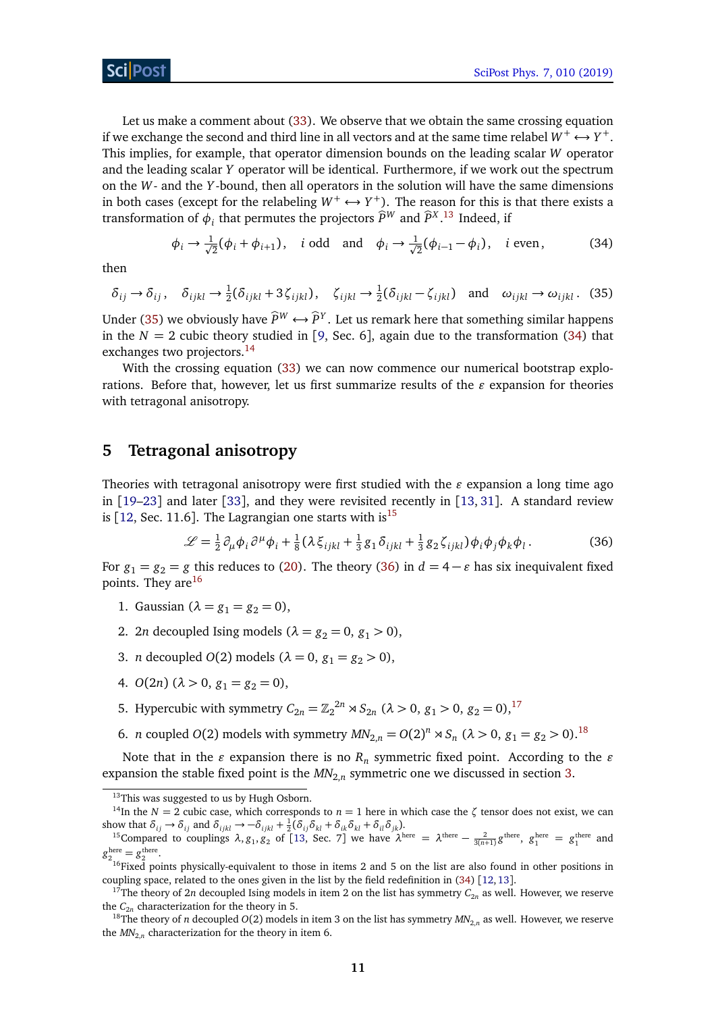Let us make a comment about [\(33\)](#page-9-1). We observe that we obtain the same crossing equation if we exchange the second and third line in all vectors and at the same time relabel  $W^+ \longleftrightarrow Y^+.$ This implies, for example, that operator dimension bounds on the leading scalar *W* operator and the leading scalar *Y* operator will be identical. Furthermore, if we work out the spectrum on the *W*- and the *Y* -bound, then all operators in the solution will have the same dimensions in both cases (except for the relabeling  $W^+ \leftrightarrow Y^+$ ). The reason for this is that there exists a transformation of  $\phi_i$  that permutes the projectors  $\widehat{P}^W$  and  $\widehat{P}^{X}$ .<sup>[13](#page-10-1)</sup> Indeed, if

<span id="page-10-3"></span>
$$
\phi_i \to \frac{1}{\sqrt{2}}(\phi_i + \phi_{i+1}), \quad i \text{ odd} \quad \text{and} \quad \phi_i \to \frac{1}{\sqrt{2}}(\phi_{i-1} - \phi_i), \quad i \text{ even}, \tag{34}
$$

<span id="page-10-2"></span>then

$$
\delta_{ij} \to \delta_{ij}, \quad \delta_{ijkl} \to \frac{1}{2}(\delta_{ijkl} + 3\zeta_{ijkl}), \quad \zeta_{ijkl} \to \frac{1}{2}(\delta_{ijkl} - \zeta_{ijkl}) \quad \text{and} \quad \omega_{ijkl} \to \omega_{ijkl}. \tag{35}
$$

Under [\(35\)](#page-10-2) we obviously have  $\widehat{P}^W \leftrightarrow \widehat{P}^Y$ . Let us remark here that something similar happens in the  $N = 2$  cubic theory studied in [[9,](#page-17-7) Sec. 6], again due to the transformation [\(34\)](#page-10-3) that exchanges two projectors.<sup>[14](#page-10-4)</sup>

With the crossing equation [\(33\)](#page-9-1) we can now commence our numerical bootstrap explorations. Before that, however, let us first summarize results of the  $\varepsilon$  expansion for theories with tetragonal anisotropy.

## <span id="page-10-0"></span>**5 Tetragonal anisotropy**

Theories with tetragonal anisotropy were first studied with the  $\varepsilon$  expansion a long time ago in  $[19–23]$  $[19–23]$  $[19–23]$  $[19–23]$  and later  $[33]$  $[33]$  $[33]$ , and they were revisited recently in  $[13, 31]$  $[13, 31]$  $[13, 31]$  $[13, 31]$  $[13, 31]$ . A standard review is [[12,](#page-17-14) Sec. 11.6]. The Lagrangian one starts with is<sup>[15](#page-10-5)</sup>

<span id="page-10-6"></span>
$$
\mathcal{L} = \frac{1}{2} \partial_{\mu} \phi_i \partial^{\mu} \phi_i + \frac{1}{8} (\lambda \xi_{ijkl} + \frac{1}{3} g_1 \delta_{ijkl} + \frac{1}{3} g_2 \zeta_{ijkl}) \phi_i \phi_j \phi_k \phi_l.
$$
 (36)

For  $g_1 = g_2 = g$  this reduces to [\(20\)](#page-6-3). The theory [\(36\)](#page-10-6) in  $d = 4 - \varepsilon$  has six inequivalent fixed points. They are<sup>[16](#page-10-7)</sup>

- 1. Gaussian  $(\lambda = g_1 = g_2 = 0)$ ,
- 2. 2*n* decoupled Ising models ( $\lambda = g_2 = 0$ ,  $g_1 > 0$ ),
- 3. *n* decoupled *O*(2) models ( $\lambda = 0$ ,  $g_1 = g_2 > 0$ ),
- 4.  $O(2n)$   $(\lambda > 0, g_1 = g_2 = 0)$ ,
- 5. Hypercubic with symmetry  $C_{2n} = \mathbb{Z}_2^{2n} \rtimes S_{2n}$  ( $\lambda > 0$ ,  $g_1 > 0$ ,  $g_2 = 0$ ),<sup>[17](#page-10-8)</sup>
- 6. *n* coupled *O*(2) models with symmetry  $MN_{2,n} = O(2)^n \rtimes S_n$  ( $\lambda > 0$ ,  $g_1 = g_2 > 0$ ).<sup>[18](#page-10-9)</sup>

Note that in the  $\varepsilon$  expansion there is no  $R_n$  symmetric fixed point. According to the  $\varepsilon$ expansion the stable fixed point is the  $M\!N_{2,n}$  symmetric one we discussed in section [3.](#page-6-0)

<span id="page-10-4"></span><span id="page-10-1"></span><sup>&</sup>lt;sup>13</sup>This was suggested to us by Hugh Osborn.

<sup>&</sup>lt;sup>14</sup>In the *N* = 2 cubic case, which corresponds to  $n = 1$  here in which case the  $\zeta$  tensor does not exist, we can show that  $\delta_{ij} \rightarrow \delta_{ij}$  and  $\delta_{ijkl} \rightarrow -\delta_{ijkl} + \frac{1}{2}(\delta_{ij}\delta_{kl} + \delta_{ik}\delta_{kl} + \delta_{il}\delta_{jk})$ .

<span id="page-10-5"></span><sup>&</sup>lt;sup>15</sup>Compared to couplings  $\lambda$ ,  $g_1$ ,  $g_2$  of [[13,](#page-17-10) Sec. 7] we have  $\lambda^{\text{here}} = \lambda^{\text{there}} - \frac{2}{3(n+1)} g^{\text{there}}$ ,  $g_1^{\text{here}} = g_1^{\text{there}}$  and  $g_{2}^{\text{here}}=g_{2}^{\text{there}}.$ 

<span id="page-10-7"></span><sup>&</sup>lt;sup>16</sup>Fixed points physically-equivalent to those in items 2 and 5 on the list are also found in other positions in coupling space, related to the ones given in the list by the field redefinition in [\(34\)](#page-10-3) [[12,](#page-17-14)[13](#page-17-10)].

<span id="page-10-8"></span><sup>&</sup>lt;sup>17</sup>The theory of 2*n* decoupled Ising models in item 2 on the list has symmetry  $C_{2n}$  as well. However, we reserve the  $C_{2n}$  characterization for the theory in 5.

<span id="page-10-9"></span><sup>&</sup>lt;sup>18</sup>The theory of *n* decoupled  $O(2)$  models in item 3 on the list has symmetry  $MN_{2n}$  as well. However, we reserve the  $MN_{2,n}$  characterization for the theory in item 6.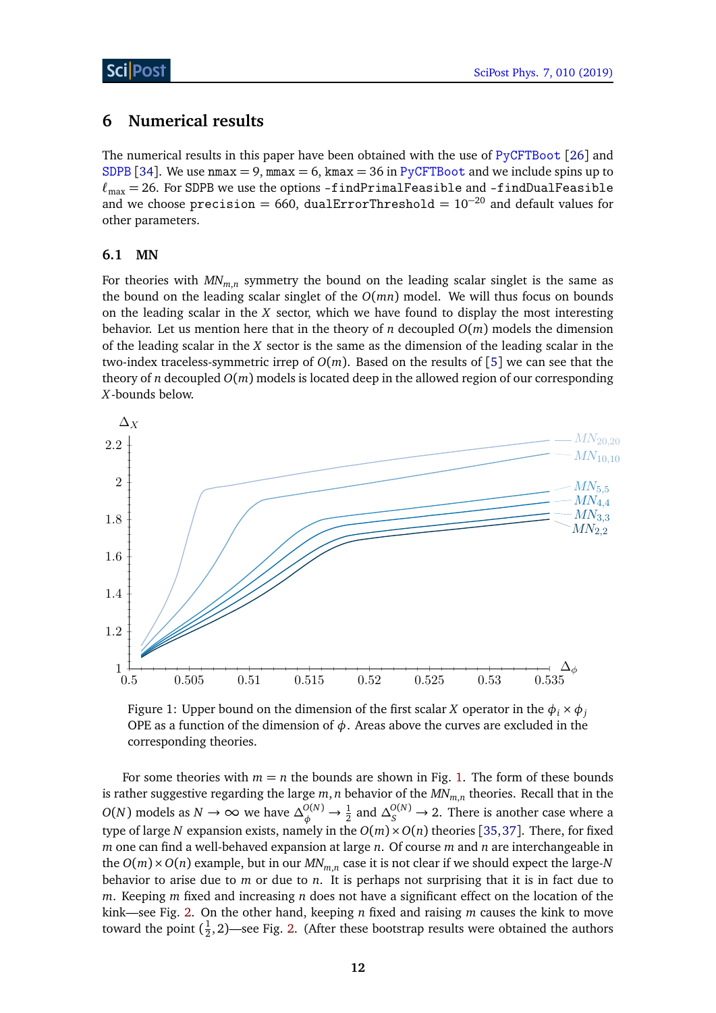# <span id="page-11-0"></span>**6 Numerical results**

The numerical results in this paper have been obtained with the use of [PyCFTBoot](https://github.com/cbehan/pycftboot) [[26](#page-18-6)] and [SDPB](https://github.com/davidsd/sdpb) [[34](#page-19-1)]. We use  $nmax = 9$ ,  $nmax = 6$ ,  $kmax = 36$  in [PyCFTBoot](https://github.com/cbehan/pycftboot) and we include spins up to  $\ell_{\text{max}} = 26$ . For SDPB we use the options -findPrimalFeasible and -findDualFeasible and we choose precision = 660, dualErrorThreshold =  $10^{-20}$  and default values for other parameters.

### <span id="page-11-1"></span>**6.1 MN**

For theories with *MNm*,*<sup>n</sup>* symmetry the bound on the leading scalar singlet is the same as the bound on the leading scalar singlet of the *O*(*mn*) model. We will thus focus on bounds on the leading scalar in the *X* sector, which we have found to display the most interesting behavior. Let us mention here that in the theory of *n* decoupled  $O(m)$  models the dimension of the leading scalar in the *X* sector is the same as the dimension of the leading scalar in the two-index traceless-symmetric irrep of  $O(m)$ . Based on the results of [[5](#page-17-4)] we can see that the theory of *n* decoupled  $O(m)$  models is located deep in the allowed region of our corresponding *X*-bounds below.

<span id="page-11-2"></span>

Figure 1: Upper bound on the dimension of the first scalar *X* operator in the  $\phi_i \times \phi_j$ OPE as a function of the dimension of  $\phi$ . Areas above the curves are excluded in the corresponding theories.

For some theories with  $m = n$  the bounds are shown in Fig. [1.](#page-11-2) The form of these bounds is rather suggestive regarding the large *m*, *n* behavior of the *MNm*,*<sup>n</sup>* theories. Recall that in the *O*(*N*) models as *N* → ∞ we have  $\Delta_{\phi}^{O(N)}$  →  $\frac{1}{2}$  and  $\Delta_{S}^{O(N)}$  → 2. There is another case where a type of large *N* expansion exists, namely in the  $O(m) \times O(n)$  theories [[35,](#page-19-2)[37](#page-19-3)]. There, for fixed *m* one can find a well-behaved expansion at large *n*. Of course *m* and *n* are interchangeable in the *O*(*m*)×*O*(*n*) example, but in our *MNm*,*<sup>n</sup>* case it is not clear if we should expect the large-*N* behavior to arise due to *m* or due to *n*. It is perhaps not surprising that it is in fact due to *m*. Keeping *m* fixed and increasing *n* does not have a significant effect on the location of the kink—see Fig. [2.](#page-12-0) On the other hand, keeping *n* fixed and raising *m* causes the kink to move toward the point  $(\frac{1}{2})$  $\frac{1}{2}$ , 2)—see Fig. [2.](#page-12-0) (After these bootstrap results were obtained the authors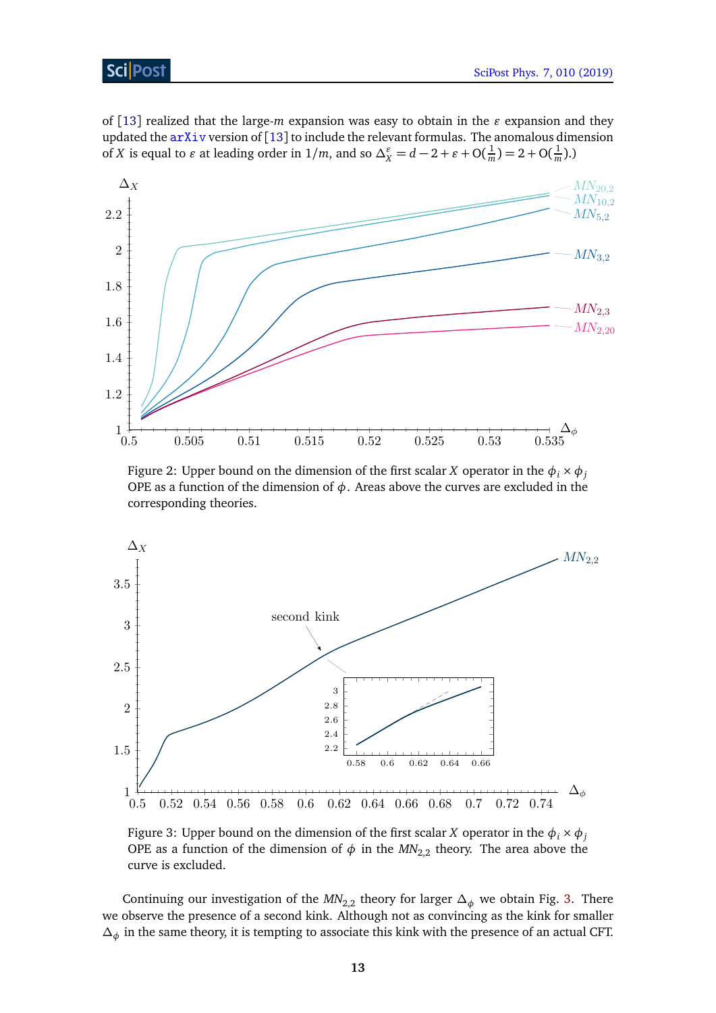## Sci Post

of [[13](#page-17-10)] realized that the large-*m* expansion was easy to obtain in the  $\varepsilon$  expansion and they updated the  $arXiv$  version of [[13](#page-17-10)] to include the relevant formulas. The anomalous dimension of *X* is equal to  $\varepsilon$  at leading order in  $1/m$ , and so  $\Delta_X^{\varepsilon} = d - 2 + \varepsilon + O(\frac{1}{n})$  $\frac{1}{m}$ ) = 2 + O( $\frac{1}{m}$ )  $\frac{1}{m}$ ).)

<span id="page-12-0"></span>

Figure 2: Upper bound on the dimension of the first scalar *X* operator in the  $\phi_i \times \phi_j$ OPE as a function of the dimension of  $\phi$ . Areas above the curves are excluded in the corresponding theories.

<span id="page-12-1"></span>

Figure 3: Upper bound on the dimension of the first scalar *X* operator in the  $\phi_i \times \phi_j$ OPE as a function of the dimension of  $\phi$  in the  $MN_{2,2}$  theory. The area above the curve is excluded.

Continuing our investigation of the  $MN_{2,2}$  theory for larger  $\Delta_{\phi}$  we obtain Fig. [3.](#page-12-1) There we observe the presence of a second kink. Although not as convincing as the kink for smaller *∆<sup>φ</sup>* in the same theory, it is tempting to associate this kink with the presence of an actual CFT.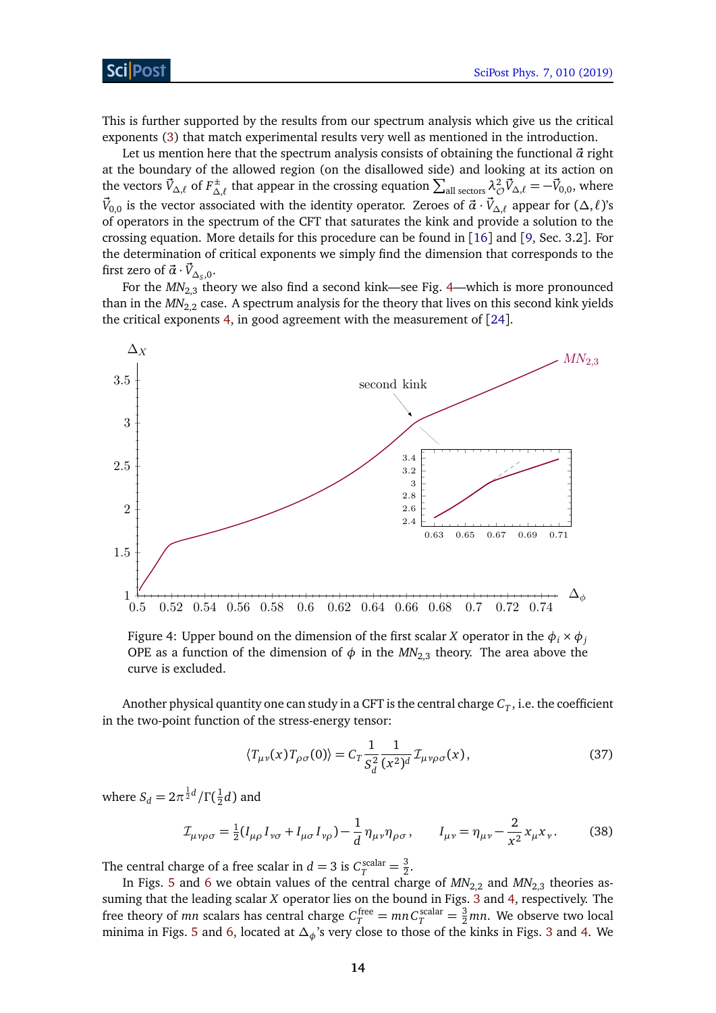#### ScilPos<sup>.</sup>

This is further supported by the results from our spectrum analysis which give us the critical exponents [\(3\)](#page-2-1) that match experimental results very well as mentioned in the introduction.

Let us mention here that the spectrum analysis consists of obtaining the functional  $\vec{\alpha}$  right at the boundary of the allowed region (on the disallowed side) and looking at its action on the vectors  $\vec{V}_{\Delta,\ell}$  of  $F_{\Delta}^{\pm}$  $\sum_{\Delta,\ell}^{\pm}$  that appear in the crossing equation  $\sum_{\rm all~sectors} \lambda^2_{\cal O} \vec{V}_{\Delta,\ell} = -\vec{V}_{0,0}$ , where  $\vec{V}_{0,0}$  is the vector associated with the identity operator. Zeroes of  $\vec{a}\cdot\vec{V}_{\Delta,\ell}$  appear for ( $\Delta,\ell$ )'s of operators in the spectrum of the CFT that saturates the kink and provide a solution to the crossing equation. More details for this procedure can be found in [[16](#page-17-13)] and [[9,](#page-17-7) Sec. 3.2]. For the determination of critical exponents we simply find the dimension that corresponds to the first zero of  $\vec{\alpha} \cdot \vec{V}_{\Delta_S,0}$ .

For the  $MN_{2,3}$  theory we also find a second kink—see Fig. [4—](#page-13-0)which is more pronounced than in the  $MN_{2,2}$  case. A spectrum analysis for the theory that lives on this second kink yields the critical exponents [4,](#page-2-2) in good agreement with the measurement of [[24](#page-18-4)].

<span id="page-13-0"></span>

Figure 4: Upper bound on the dimension of the first scalar *X* operator in the  $\phi_i \times \phi_j$ OPE as a function of the dimension of  $\phi$  in the  $MN_{2,3}$  theory. The area above the curve is excluded.

Another physical quantity one can study in a CFT is the central charge  $C_T$  , i.e. the coefficient in the two-point function of the stress-energy tensor:

$$
\langle T_{\mu\nu}(x)T_{\rho\sigma}(0)\rangle = C_T \frac{1}{S_d^2} \frac{1}{(x^2)^d} \mathcal{I}_{\mu\nu\rho\sigma}(x),\tag{37}
$$

where  $S_d = 2\pi^{\frac{1}{2}d}/\Gamma(\frac{1}{2})$  $\frac{1}{2}d$ ) and

$$
\mathcal{I}_{\mu\nu\rho\sigma} = \frac{1}{2} (I_{\mu\rho} I_{\nu\sigma} + I_{\mu\sigma} I_{\nu\rho}) - \frac{1}{d} \eta_{\mu\nu} \eta_{\rho\sigma}, \qquad I_{\mu\nu} = \eta_{\mu\nu} - \frac{2}{x^2} x_{\mu} x_{\nu}.
$$
 (38)

The central charge of a free scalar in  $d = 3$  is  $C_T^{\text{scalar}} = \frac{3}{2}$  $\frac{3}{2}$ .

In Figs. [5](#page-14-1) and [6](#page-14-2) we obtain values of the central charge of  $MN_{2,2}$  and  $MN_{2,3}$  theories assuming that the leading scalar *X* operator lies on the bound in Figs. [3](#page-12-1) and [4,](#page-13-0) respectively. The free theory of *mn* scalars has central charge  $C_T^{\text{free}} = mn C_T^{\text{scalar}} = \frac{3}{2}mn$ . We observe two local minima in Figs. [5](#page-14-1) and [6,](#page-14-2) located at *∆φ*'s very close to those of the kinks in Figs. [3](#page-12-1) and [4.](#page-13-0) We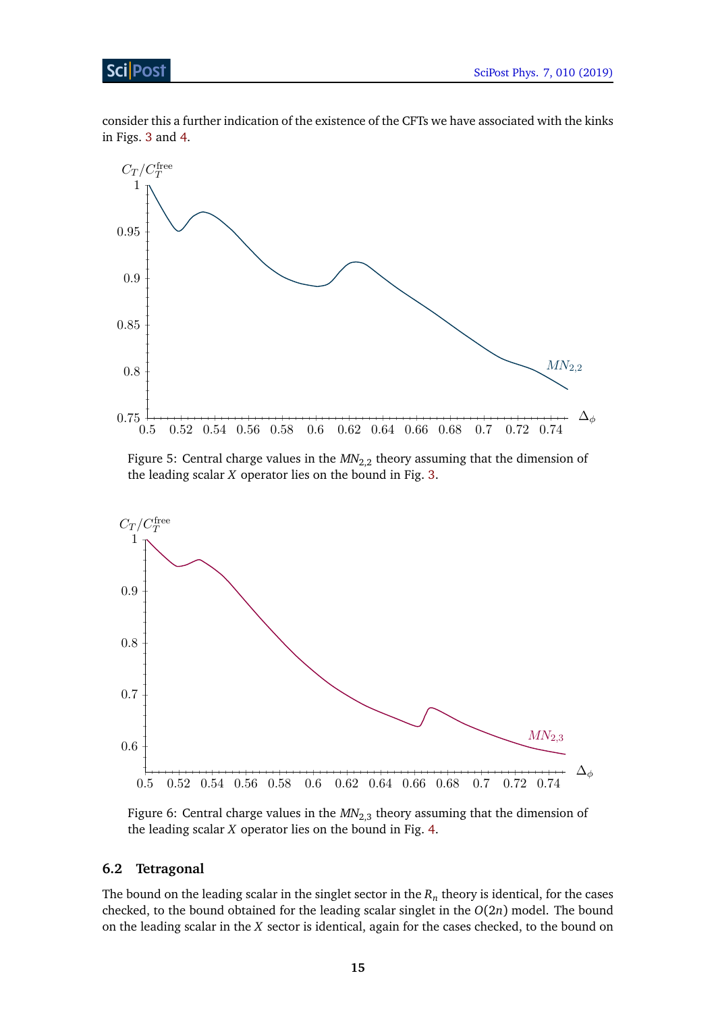### Sci Post

consider this a further indication of the existence of the CFTs we have associated with the kinks in Figs. [3](#page-12-1) and [4.](#page-13-0)

<span id="page-14-1"></span>

Figure 5: Central charge values in the  $MN_{2,2}$  theory assuming that the dimension of the leading scalar *X* operator lies on the bound in Fig. [3.](#page-12-1)

<span id="page-14-2"></span>

Figure 6: Central charge values in the  $MN_{2,3}$  theory assuming that the dimension of the leading scalar *X* operator lies on the bound in Fig. [4.](#page-13-0)

#### <span id="page-14-0"></span>**6.2 Tetragonal**

The bound on the leading scalar in the singlet sector in the  $R_n$  theory is identical, for the cases checked, to the bound obtained for the leading scalar singlet in the *O*(2*n*) model. The bound on the leading scalar in the *X* sector is identical, again for the cases checked, to the bound on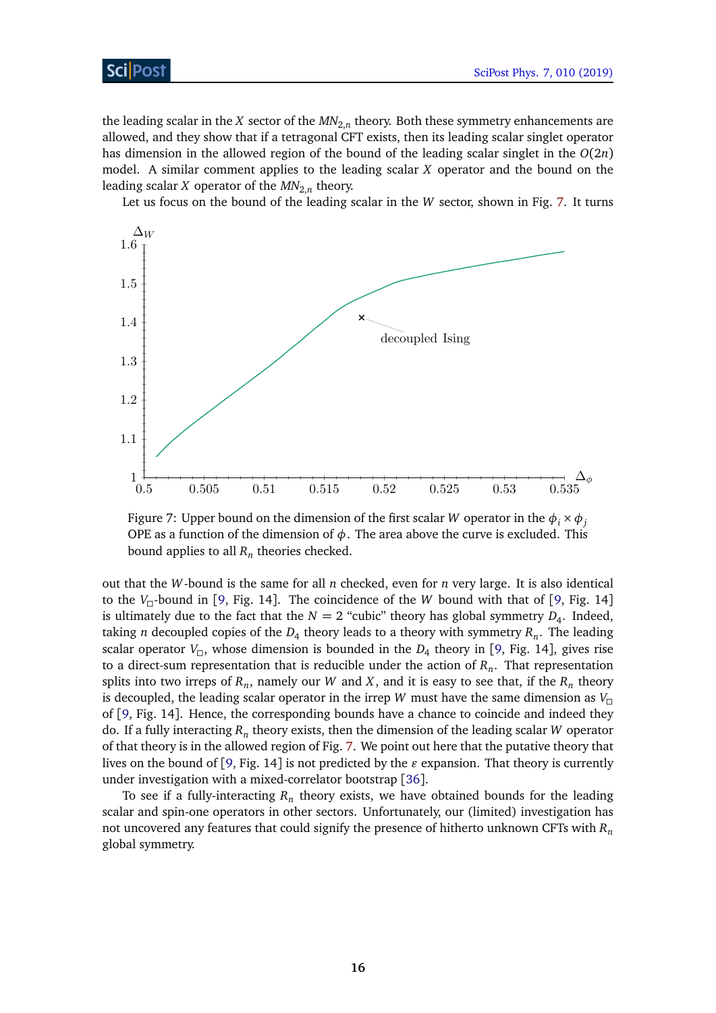the leading scalar in the  $X$  sector of the  $M\!N_{2,n}$  theory. Both these symmetry enhancements are allowed, and they show that if a tetragonal CFT exists, then its leading scalar singlet operator has dimension in the allowed region of the bound of the leading scalar singlet in the *O*(2*n*) model. A similar comment applies to the leading scalar *X* operator and the bound on the leading scalar *X* operator of the  $\mathit{MN}_{2,n}$  theory.

Let us focus on the bound of the leading scalar in the *W* sector, shown in Fig. [7.](#page-15-0) It turns

<span id="page-15-0"></span>

Figure 7: Upper bound on the dimension of the first scalar *W* operator in the  $\phi_i \times \phi_j$ OPE as a function of the dimension of  $\phi$ . The area above the curve is excluded. This bound applies to all  $R_n$  theories checked.

out that the *W*-bound is the same for all *n* checked, even for *n* very large. It is also identical to the  $V_{\Pi}$ -bound in [[9,](#page-17-7) Fig. 14]. The coincidence of the *W* bound with that of [9, Fig. 14] is ultimately due to the fact that the  $N=2$  "cubic" theory has global symmetry  $D_4$ . Indeed, taking *n* decoupled copies of the  $D_4$  theory leads to a theory with symmetry  $R_n$ . The leading scalar operator  $V_{\Box}$ , whose dimension is bounded in the  $D_4$  theory in [[9,](#page-17-7) Fig. 14], gives rise to a direct-sum representation that is reducible under the action of *R<sup>n</sup>* . That representation splits into two irreps of  $R_n$ , namely our  $W$  and  $X$ , and it is easy to see that, if the  $R_n$  theory is decoupled, the leading scalar operator in the irrep *W* must have the same dimension as  $V_{\square}$ of [[9,](#page-17-7) Fig. 14]. Hence, the corresponding bounds have a chance to coincide and indeed they do. If a fully interacting  $R_n$  theory exists, then the dimension of the leading scalar  $W$  operator of that theory is in the allowed region of Fig. [7.](#page-15-0) We point out here that the putative theory that lives on the bound of [[9,](#page-17-7) Fig. 14] is not predicted by the  $\varepsilon$  expansion. That theory is currently under investigation with a mixed-correlator bootstrap [[36](#page-19-4)].

To see if a fully-interacting  $R_n$  theory exists, we have obtained bounds for the leading scalar and spin-one operators in other sectors. Unfortunately, our (limited) investigation has not uncovered any features that could signify the presence of hitherto unknown CFTs with *R<sup>n</sup>* global symmetry.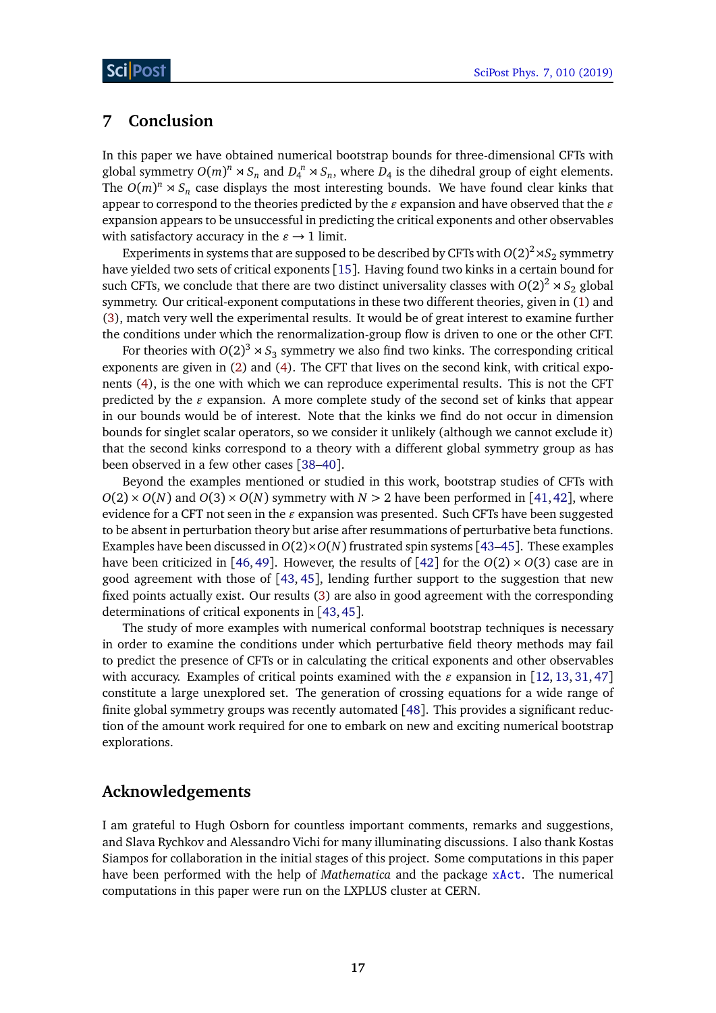# <span id="page-16-0"></span>**7 Conclusion**

In this paper we have obtained numerical bootstrap bounds for three-dimensional CFTs with global symmetry  $O(m)^n \rtimes S_n$  and  $D_4^n \rtimes S_n$ , where  $D_4$  is the dihedral group of eight elements. The  $O(m)^n \rtimes S_n$  case displays the most interesting bounds. We have found clear kinks that appear to correspond to the theories predicted by the  $\varepsilon$  expansion and have observed that the  $\varepsilon$ expansion appears to be unsuccessful in predicting the critical exponents and other observables with satisfactory accuracy in the  $\varepsilon \to 1$  limit.

Experiments in systems that are supposed to be described by CFTs with  $O(2)^2$   $\!\rtimes\! S_2$  symmetry have yielded two sets of critical exponents [[15](#page-17-12)]. Having found two kinks in a certain bound for such CFTs, we conclude that there are two distinct universality classes with  $O(2)^2 \rtimes S_2$  global symmetry. Our critical-exponent computations in these two different theories, given in [\(1\)](#page-1-3) and [\(3\)](#page-2-1), match very well the experimental results. It would be of great interest to examine further the conditions under which the renormalization-group flow is driven to one or the other CFT.

For theories with  $O(2)^3 \rtimes S_3$  symmetry we also find two kinks. The corresponding critical exponents are given in [\(2\)](#page-2-0) and [\(4\)](#page-2-2). The CFT that lives on the second kink, with critical exponents [\(4\)](#page-2-2), is the one with which we can reproduce experimental results. This is not the CFT predicted by the  $\varepsilon$  expansion. A more complete study of the second set of kinks that appear in our bounds would be of interest. Note that the kinks we find do not occur in dimension bounds for singlet scalar operators, so we consider it unlikely (although we cannot exclude it) that the second kinks correspond to a theory with a different global symmetry group as has been observed in a few other cases [[38–](#page-19-5)[40](#page-19-6)].

Beyond the examples mentioned or studied in this work, bootstrap studies of CFTs with  $O(2) \times O(N)$  and  $O(3) \times O(N)$  symmetry with  $N > 2$  have been performed in [[41,](#page-19-7)[42](#page-19-8)], where evidence for a CFT not seen in the  $\varepsilon$  expansion was presented. Such CFTs have been suggested to be absent in perturbation theory but arise after resummations of perturbative beta functions. Examples have been discussed in  $O(2) \times O(N)$  frustrated spin systems [[43–](#page-19-9)[45](#page-19-10)]. These examples have been criticized in [[46,](#page-19-11) [49](#page-19-12)]. However, the results of [[42](#page-19-8)] for the  $O(2) \times O(3)$  case are in good agreement with those of [[43,](#page-19-9) [45](#page-19-10)], lending further support to the suggestion that new fixed points actually exist. Our results [\(3\)](#page-2-1) are also in good agreement with the corresponding determinations of critical exponents in [[43,](#page-19-9)[45](#page-19-10)].

The study of more examples with numerical conformal bootstrap techniques is necessary in order to examine the conditions under which perturbative field theory methods may fail to predict the presence of CFTs or in calculating the critical exponents and other observables with accuracy. Examples of critical points examined with the  $\varepsilon$  expansion in [[12,](#page-17-14) [13,](#page-17-10) [31,](#page-18-9) [47](#page-19-13)] constitute a large unexplored set. The generation of crossing equations for a wide range of finite global symmetry groups was recently automated [[48](#page-19-14)]. This provides a significant reduction of the amount work required for one to embark on new and exciting numerical bootstrap explorations.

# **Acknowledgements**

I am grateful to Hugh Osborn for countless important comments, remarks and suggestions, and Slava Rychkov and Alessandro Vichi for many illuminating discussions. I also thank Kostas Siampos for collaboration in the initial stages of this project. Some computations in this paper have been performed with the help of *Mathematica* and the package [xAct](http://www.xact.es). The numerical computations in this paper were run on the LXPLUS cluster at CERN.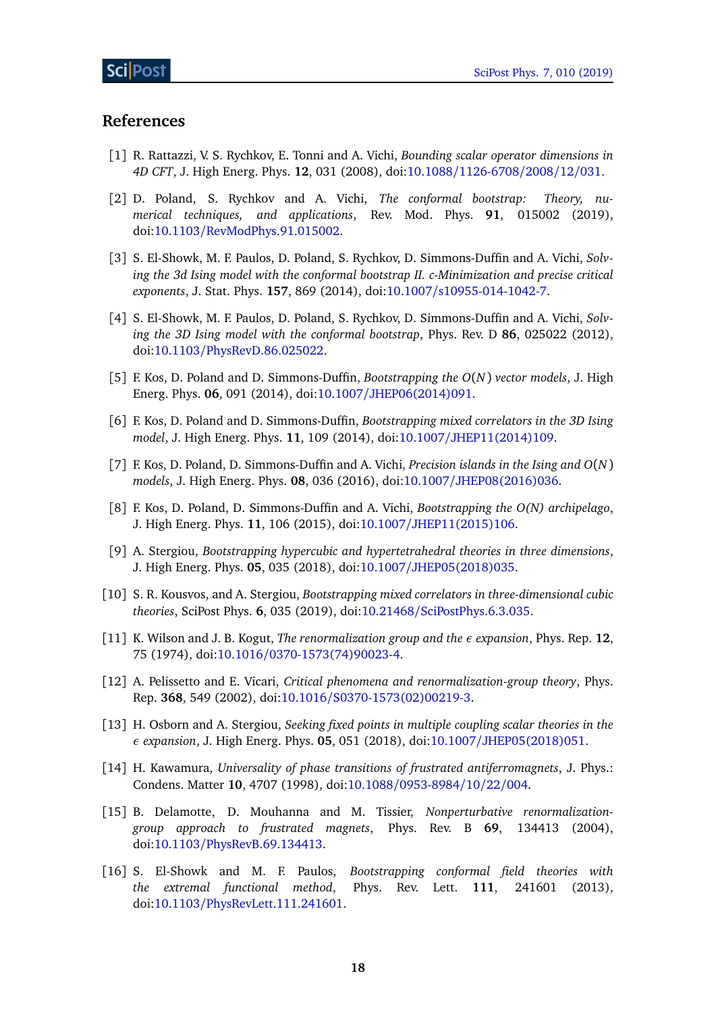### **References**

- <span id="page-17-0"></span>[1] R. Rattazzi, V. S. Rychkov, E. Tonni and A. Vichi, *Bounding scalar operator dimensions in 4D CFT*, J. High Energ. Phys. **12**, 031 (2008), doi:10.1088/[1126-6708](http://dx.doi.org/10.1088/1126-6708/2008/12/031)/2008/12/031.
- <span id="page-17-15"></span>[2] D. Poland, S. Rychkov and A. Vichi, *The conformal bootstrap: Theory, numerical techniques, and applications*, Rev. Mod. Phys. **91**, 015002 (2019), doi:10.1103/[RevModPhys.91.015002.](http://dx.doi.org/10.1103/RevModPhys.91.015002)
- <span id="page-17-1"></span>[3] S. El-Showk, M. F. Paulos, D. Poland, S. Rychkov, D. Simmons-Duffin and A. Vichi, *Solving the 3d Ising model with the conformal bootstrap II. c-Minimization and precise critical exponents*, J. Stat. Phys. **157**, 869 (2014), doi:10.1007/[s10955-014-1042-7.](http://dx.doi.org/10.1007/s10955-014-1042-7)
- <span id="page-17-2"></span>[4] S. El-Showk, M. F. Paulos, D. Poland, S. Rychkov, D. Simmons-Duffin and A. Vichi, *Solving the 3D Ising model with the conformal bootstrap*, Phys. Rev. D **86**, 025022 (2012), doi:10.1103/[PhysRevD.86.025022.](http://dx.doi.org/10.1103/PhysRevD.86.025022)
- <span id="page-17-4"></span>[5] F. Kos, D. Poland and D. Simmons-Duffin, *Bootstrapping the O*(*N*) *vector models*, J. High Energ. Phys. **06**, 091 (2014), doi:10.1007/[JHEP06\(2014\)091.](http://dx.doi.org/10.1007/JHEP06(2014)091)
- <span id="page-17-3"></span>[6] F. Kos, D. Poland and D. Simmons-Duffin, *Bootstrapping mixed correlators in the 3D Ising model*, J. High Energ. Phys. **11**, 109 (2014), doi:10.1007/[JHEP11\(2014\)109.](http://dx.doi.org/10.1007/JHEP11(2014)109)
- <span id="page-17-5"></span>[7] F. Kos, D. Poland, D. Simmons-Duffin and A. Vichi, *Precision islands in the Ising and O*(*N*) *models*, J. High Energ. Phys. **08**, 036 (2016), doi:10.1007/[JHEP08\(2016\)036.](http://dx.doi.org/10.1007/JHEP08(2016)036)
- <span id="page-17-6"></span>[8] F. Kos, D. Poland, D. Simmons-Duffin and A. Vichi, *Bootstrapping the O(N) archipelago*, J. High Energ. Phys. **11**, 106 (2015), doi:10.1007/[JHEP11\(2015\)106.](http://dx.doi.org/10.1007/JHEP11(2015)106)
- <span id="page-17-7"></span>[9] A. Stergiou, *Bootstrapping hypercubic and hypertetrahedral theories in three dimensions*, J. High Energ. Phys. **05**, 035 (2018), doi:10.1007/[JHEP05\(2018\)035.](http://dx.doi.org/10.1007/JHEP05(2018)035)
- <span id="page-17-8"></span>[10] S. R. Kousvos, and A. Stergiou, *Bootstrapping mixed correlators in three-dimensional cubic theories*, SciPost Phys. **6**, 035 (2019), doi:10.21468/[SciPostPhys.6.3.035.](http://dx.doi.org/10.21468/SciPostPhys.6.3.035)
- <span id="page-17-9"></span>[11] K. Wilson and J. B. Kogut, *The renormalization group and the ε expansion*, Phys. Rep. **12**, 75 (1974), doi:10.1016/[0370-1573\(74\)90023-4.](http://dx.doi.org/10.1016/0370-1573(74)90023-4)
- <span id="page-17-14"></span>[12] A. Pelissetto and E. Vicari, *Critical phenomena and renormalization-group theory*, Phys. Rep. **368**, 549 (2002), doi:10.1016/[S0370-1573\(02\)00219-3.](http://dx.doi.org/10.1016/S0370-1573(02)00219-3)
- <span id="page-17-10"></span>[13] H. Osborn and A. Stergiou, *Seeking fixed points in multiple coupling scalar theories in the ε expansion*, J. High Energ. Phys. **05**, 051 (2018), doi:10.1007/[JHEP05\(2018\)051.](http://dx.doi.org/10.1007/JHEP05(2018)051)
- <span id="page-17-11"></span>[14] H. Kawamura, *Universality of phase transitions of frustrated antiferromagnets*, J. Phys.: Condens. Matter **10**, 4707 (1998), doi:10.1088/[0953-8984](http://dx.doi.org/10.1088/0953-8984/10/22/004)/10/22/004.
- <span id="page-17-12"></span>[15] B. Delamotte, D. Mouhanna and M. Tissier, *Nonperturbative renormalizationgroup approach to frustrated magnets*, Phys. Rev. B **69**, 134413 (2004), doi:10.1103/[PhysRevB.69.134413.](http://dx.doi.org/10.1103/PhysRevB.69.134413)
- <span id="page-17-13"></span>[16] S. El-Showk and M. F. Paulos, *Bootstrapping conformal field theories with the extremal functional method*, Phys. Rev. Lett. **111**, 241601 (2013), doi:10.1103/[PhysRevLett.111.241601.](http://dx.doi.org/10.1103/PhysRevLett.111.241601)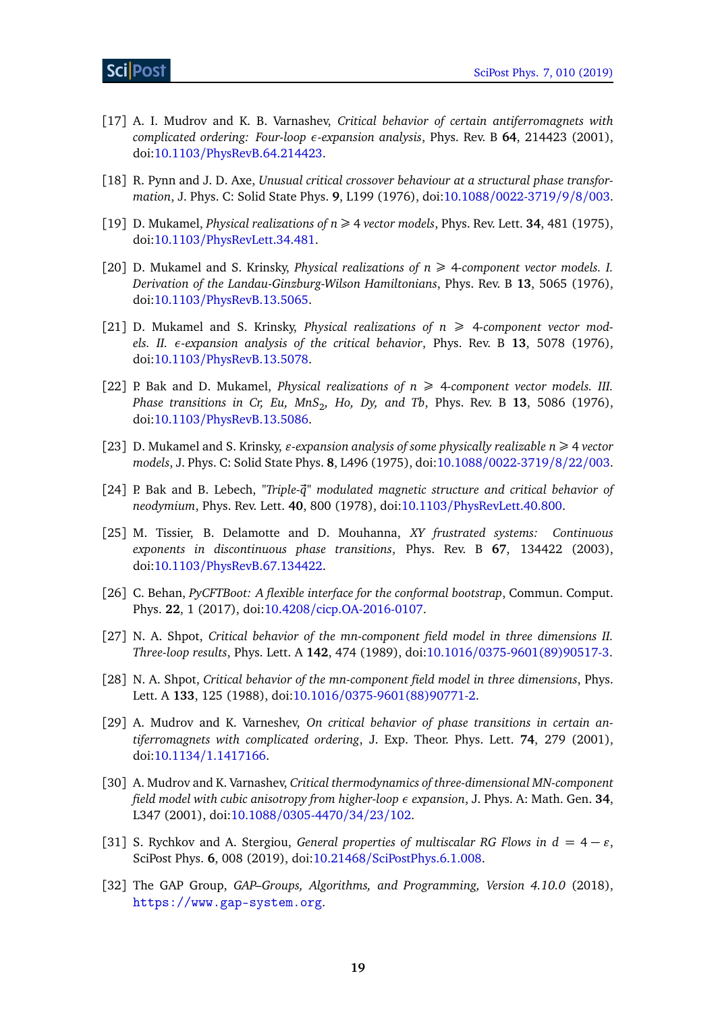- <span id="page-18-0"></span>[17] A. I. Mudrov and K. B. Varnashev, *Critical behavior of certain antiferromagnets with complicated ordering: Four-loop ε-expansion analysis*, Phys. Rev. B **64**, 214423 (2001), doi:10.1103/[PhysRevB.64.214423.](http://dx.doi.org/10.1103/PhysRevB.64.214423)
- <span id="page-18-1"></span>[18] R. Pynn and J. D. Axe, *Unusual critical crossover behaviour at a structural phase transformation*, J. Phys. C: Solid State Phys. **9**, L199 (1976), doi:10.1088/[0022-3719](http://dx.doi.org/10.1088/0022-3719/9/8/003)/9/8/003.
- <span id="page-18-2"></span>[19] D. Mukamel, *Physical realizations of n*  $\geq$  4 *vector models*, *Phys. Rev. Lett.* **34**, 481 (1975), doi:10.1103/[PhysRevLett.34.481.](http://dx.doi.org/10.1103/PhysRevLett.34.481)
- [20] D. Mukamel and S. Krinsky, *Physical realizations of*  $n \geq 4$ -component vector models. I. *Derivation of the Landau-Ginzburg-Wilson Hamiltonians*, Phys. Rev. B **13**, 5065 (1976), doi:10.1103/[PhysRevB.13.5065.](http://dx.doi.org/10.1103/PhysRevB.13.5065)
- [21] D. Mukamel and S. Krinsky, *Physical realizations of*  $n \geq 4$ -component vector mod*els. II. ε-expansion analysis of the critical behavior*, Phys. Rev. B **13**, 5078 (1976), doi:10.1103/[PhysRevB.13.5078.](http://dx.doi.org/10.1103/PhysRevB.13.5078)
- [22] P. Bak and D. Mukamel, *Physical realizations of*  $n \geq 4$ -component vector models. III. *Phase transitions in Cr, Eu, MnS*<sup>2</sup> *, Ho, Dy, and Tb*, Phys. Rev. B **13**, 5086 (1976), doi:10.1103/[PhysRevB.13.5086.](http://dx.doi.org/10.1103/PhysRevB.13.5086)
- <span id="page-18-3"></span>[23] D. Mukamel and S. Krinsky,  $\varepsilon$ -expansion analysis of some physically realizable  $n \geq 4$  vector *models*, J. Phys. C: Solid State Phys. **8**, L496 (1975), doi:10.1088/[0022-3719](http://dx.doi.org/10.1088/0022-3719/8/22/003)/8/22/003.
- <span id="page-18-4"></span>[24] P. Bak and B. Lebech, *"Triple-q" modulated magnetic structure and critical behavior of ~ neodymium*, Phys. Rev. Lett. **40**, 800 (1978), doi:10.1103/[PhysRevLett.40.800.](http://dx.doi.org/10.1103/PhysRevLett.40.800)
- <span id="page-18-5"></span>[25] M. Tissier, B. Delamotte and D. Mouhanna, *XY frustrated systems: Continuous exponents in discontinuous phase transitions*, Phys. Rev. B **67**, 134422 (2003), doi:10.1103/[PhysRevB.67.134422.](http://dx.doi.org/10.1103/PhysRevB.67.134422)
- <span id="page-18-6"></span>[26] C. Behan, *PyCFTBoot: A flexible interface for the conformal bootstrap*, Commun. Comput. Phys. **22**, 1 (2017), doi:10.4208/[cicp.OA-2016-0107.](http://dx.doi.org/10.4208/cicp.OA-2016-0107)
- <span id="page-18-7"></span>[27] N. A. Shpot, *Critical behavior of the mn-component field model in three dimensions II. Three-loop results*, Phys. Lett. A **142**, 474 (1989), doi:10.1016/[0375-9601\(89\)90517-3.](http://dx.doi.org/10.1016/0375-9601(89)90517-3)
- [28] N. A. Shpot, *Critical behavior of the mn-component field model in three dimensions*, Phys. Lett. A **133**, 125 (1988), doi:10.1016/[0375-9601\(88\)90771-2.](http://dx.doi.org/10.1016/0375-9601(88)90771-2)
- <span id="page-18-10"></span>[29] A. Mudrov and K. Varneshev, *On critical behavior of phase transitions in certain antiferromagnets with complicated ordering*, J. Exp. Theor. Phys. Lett. **74**, 279 (2001), doi:10.1134/[1.1417166.](http://dx.doi.org/10.1134/1.1417166)
- <span id="page-18-8"></span>[30] A. Mudrov and K. Varnashev, *Critical thermodynamics of three-dimensional MN-component field model with cubic anisotropy from higher-loop ε expansion*, J. Phys. A: Math. Gen. **34**, L347 (2001), doi:10.1088/[0305-4470](http://dx.doi.org/10.1088/0305-4470/34/23/102)/34/23/102.
- <span id="page-18-9"></span>[31] S. Rychkov and A. Stergiou, *General properties of multiscalar RG Flows in*  $d = 4 - \varepsilon$ *,* SciPost Phys. **6**, 008 (2019), doi:10.21468/[SciPostPhys.6.1.008.](http://dx.doi.org/10.21468/SciPostPhys.6.1.008)
- <span id="page-18-11"></span>[32] The GAP Group, *GAP–Groups, Algorithms, and Programming, Version 4.10.0* (2018), <https://www.gap-system.org>.